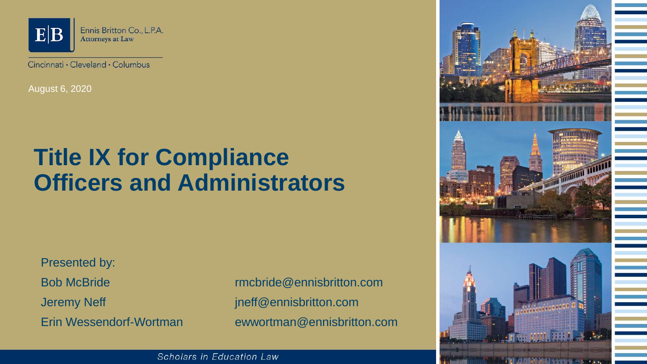

Cincinnati · Cleveland · Columbus

August 6, 2020

# **Title IX for Compliance Officers and Administrators**

Presented by:

Bob McBride rmcbride@ennisbritton.com Jeremy Neff intervals and the settlement of the property ineff @ennisbritton.com Erin Wessendorf-Wortman ewwortman@ennisbritton.com



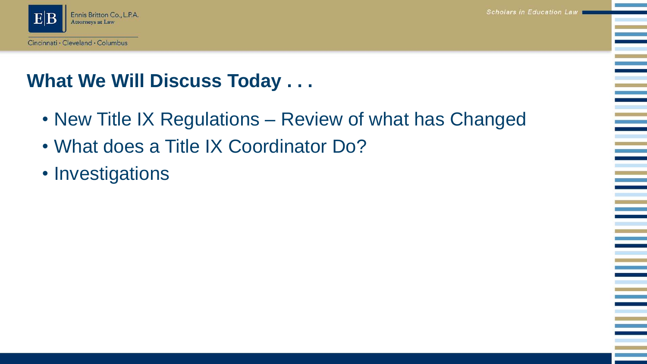era<br>Barat dan Ka



### **What We Will Discuss Today . . .**

- New Title IX Regulations Review of what has Changed
- What does a Title IX Coordinator Do?
- Investigations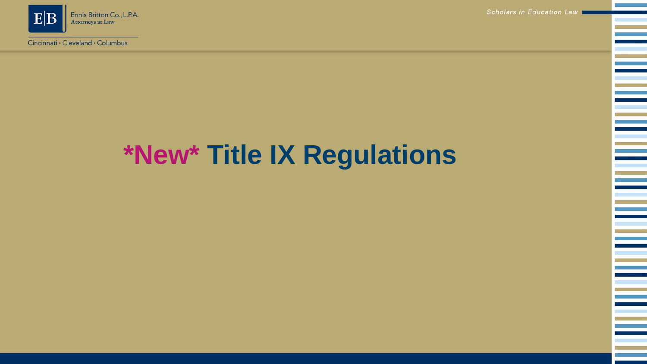

Cincinnati · Cleveland · Columbus

Scholars in Education Law

e<br>1

e<br>Bel

e<br>H

# **\*New\* Title IX Regulations**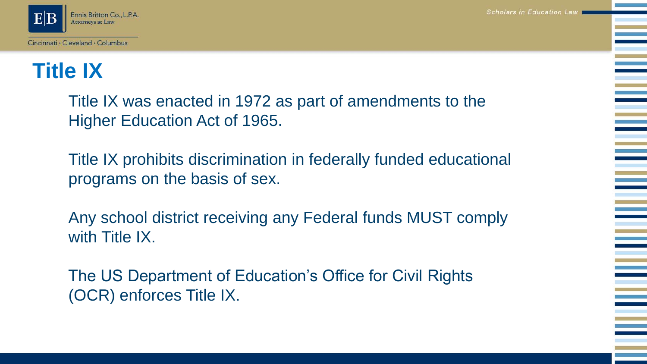

# **Title IX**

Title IX was enacted in 1972 as part of amendments to the Higher Education Act of 1965.

Title IX prohibits discrimination in federally funded educational programs on the basis of sex.

Any school district receiving any Federal funds MUST comply with Title IX.

The US Department of Education's Office for Civil Rights (OCR) enforces Title IX.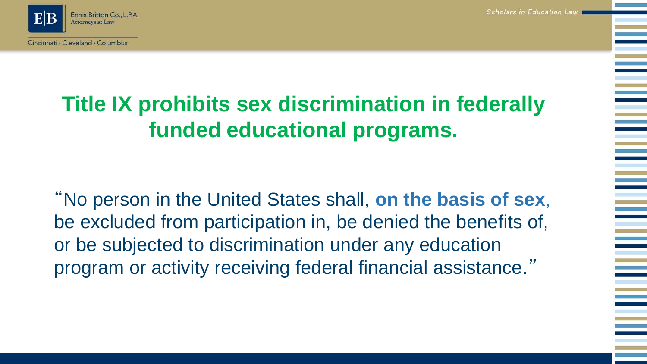

# **Title IX prohibits sex discrimination in federally funded educational programs.**

"No person in the United States shall, **on the basis of sex**, be excluded from participation in, be denied the benefits of, or be subjected to discrimination under any education program or activity receiving federal financial assistance."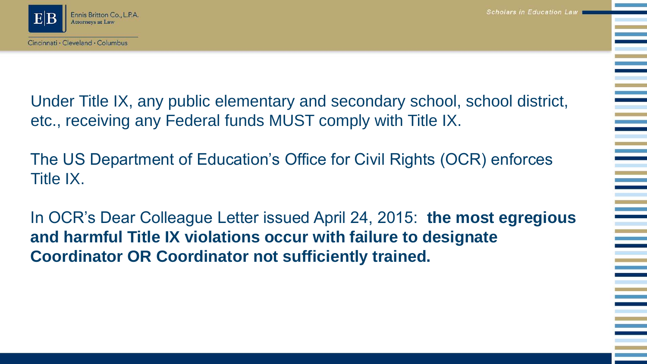

Cincinnati · Cleveland · Columbus

Scholars in Education Law

Under Title IX, any public elementary and secondary school, school district, etc., receiving any Federal funds MUST comply with Title IX.

The US Department of Education's Office for Civil Rights (OCR) enforces Title IX.

In OCR's Dear Colleague Letter issued April 24, 2015: **the most egregious and harmful Title IX violations occur with failure to designate Coordinator OR Coordinator not sufficiently trained.**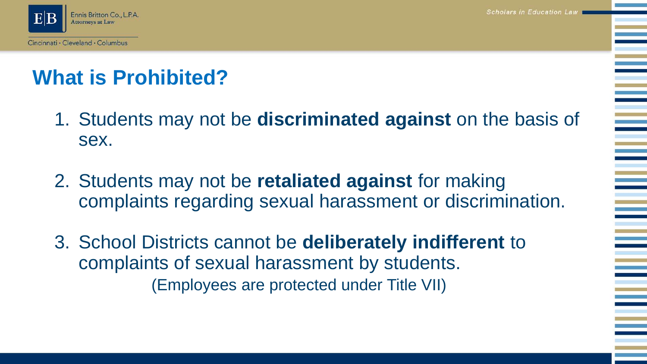

# **What is Prohibited?**

- 1. Students may not be **discriminated against** on the basis of sex.
- 2. Students may not be **retaliated against** for making complaints regarding sexual harassment or discrimination.
- 3. School Districts cannot be **deliberately indifferent** to complaints of sexual harassment by students. (Employees are protected under Title VII)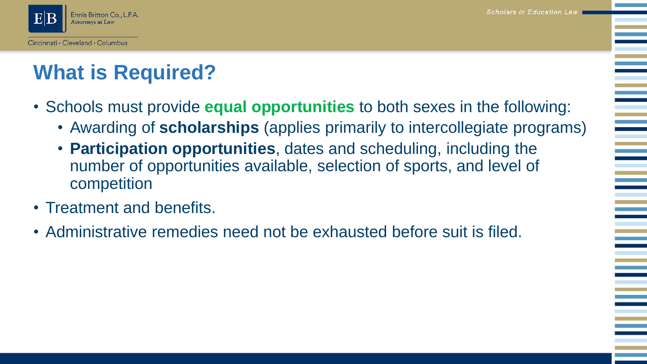

# **What is Required?**

- Schools must provide **equal opportunities** to both sexes in the following:
	- Awarding of **scholarships** (applies primarily to intercollegiate programs)
	- **Participation opportunities**, dates and scheduling, including the number of opportunities available, selection of sports, and level of competition
- Treatment and benefits.
- Administrative remedies need not be exhausted before suit is filed.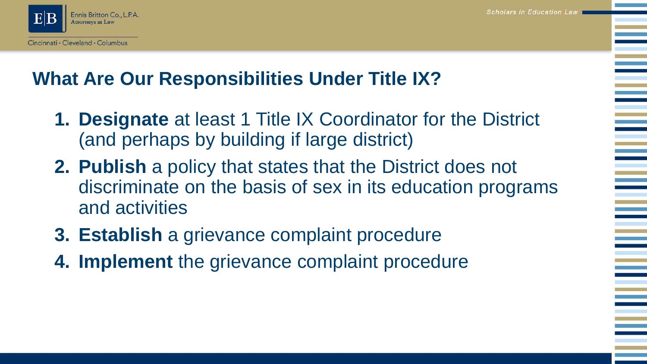

### **What Are Our Responsibilities Under Title IX?**

- **1. Designate** at least 1 Title IX Coordinator for the District (and perhaps by building if large district)
- **2. Publish** a policy that states that the District does not discriminate on the basis of sex in its education programs and activities
- **3. Establish** a grievance complaint procedure
- **4. Implement** the grievance complaint procedure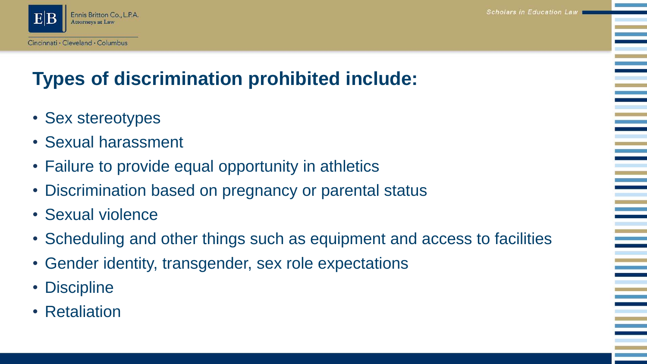

# **Types of discrimination prohibited include:**

- Sex stereotypes
- Sexual harassment
- Failure to provide equal opportunity in athletics
- Discrimination based on pregnancy or parental status
- Sexual violence
- Scheduling and other things such as equipment and access to facilities
- Gender identity, transgender, sex role expectations
- Discipline
- Retaliation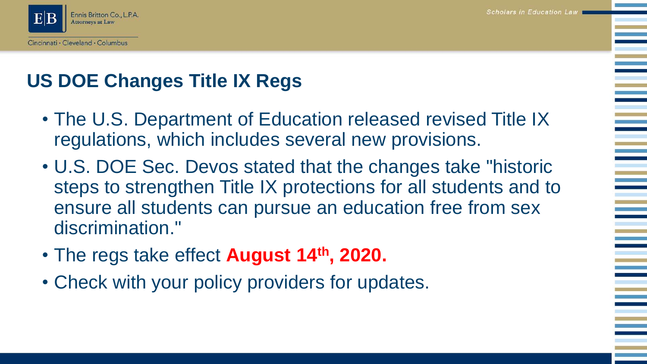

# **US DOE Changes Title IX Regs**

- The U.S. Department of Education released revised Title IX regulations, which includes several new provisions.
- U.S. DOE Sec. Devos stated that the changes take "historic steps to strengthen Title IX protections for all students and to ensure all students can pursue an education free from sex discrimination."
- The regs take effect **August 14th, 2020.**
- Check with your policy providers for updates.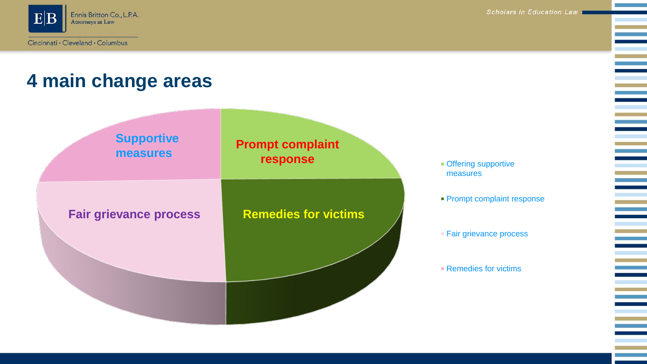

Ξ

### **4 main change areas**



**• Offering supportive** measures

- **Prompt complaint response**
- **Fair grievance process**
- Remedies for victims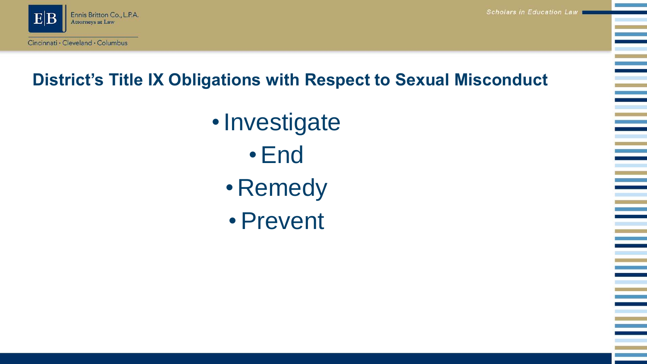

#### **District's Title IX Obligations with Respect to Sexual Misconduct**

- •Investigate •End
	- Remedy
	- •Prevent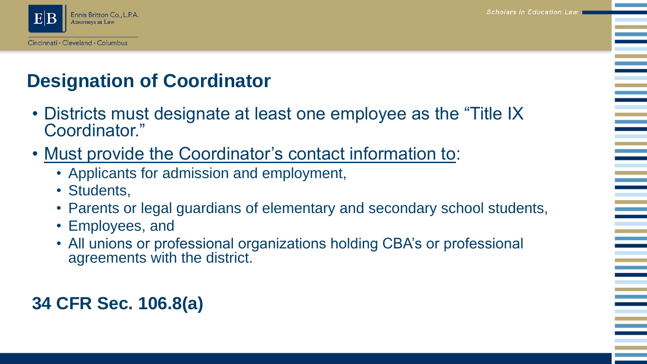

### **Designation of Coordinator**

- Districts must designate at least one employee as the "Title IX Coordinator."
- Must provide the Coordinator's contact information to:
	- Applicants for admission and employment,
	- Students,
	- Parents or legal guardians of elementary and secondary school students,
	- Employees, and
	- All unions or professional organizations holding CBA's or professional agreements with the district.

**34 CFR Sec. 106.8(a)**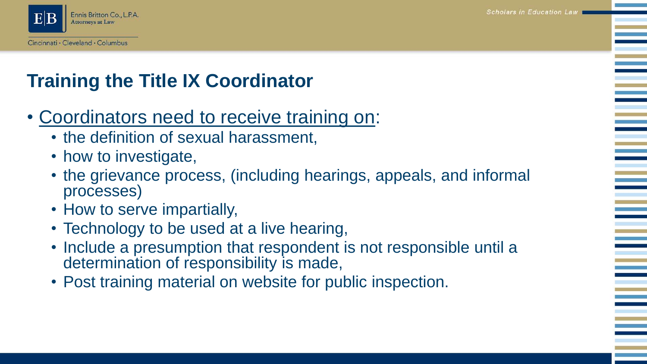

# **Training the Title IX Coordinator**

### • Coordinators need to receive training on:

- the definition of sexual harassment,
- how to investigate,
- the grievance process, (including hearings, appeals, and informal processes)
- How to serve impartially,
- Technology to be used at a live hearing,
- Include a presumption that respondent is not responsible until a determination of responsibility is made,
- Post training material on website for public inspection.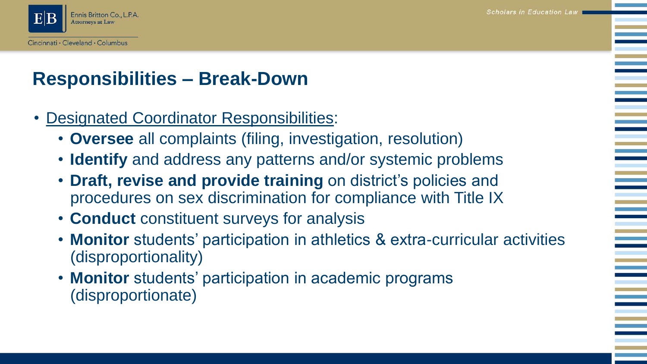

### **Responsibilities – Break-Down**

- Designated Coordinator Responsibilities:
	- **Oversee** all complaints (filing, investigation, resolution)
	- **Identify** and address any patterns and/or systemic problems
	- **Draft, revise and provide training** on district's policies and procedures on sex discrimination for compliance with Title IX
	- **Conduct** constituent surveys for analysis
	- **Monitor** students' participation in athletics & extra-curricular activities (disproportionality)
	- **Monitor** students' participation in academic programs (disproportionate)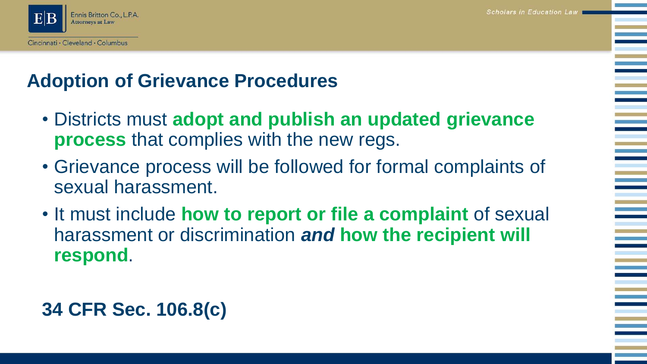

### **Adoption of Grievance Procedures**

- Districts must **adopt and publish an updated grievance process** that complies with the new regs.
- Grievance process will be followed for formal complaints of sexual harassment.
- It must include **how to report or file a complaint** of sexual harassment or discrimination *and* **how the recipient will respond**.

### **34 CFR Sec. 106.8(c)**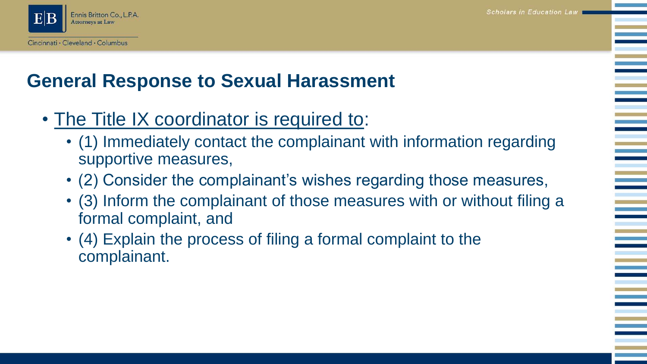

### **General Response to Sexual Harassment**

- The Title IX coordinator is required to:
	- (1) Immediately contact the complainant with information regarding supportive measures,
	- (2) Consider the complainant's wishes regarding those measures,
	- (3) Inform the complainant of those measures with or without filing a formal complaint, and
	- (4) Explain the process of filing a formal complaint to the complainant.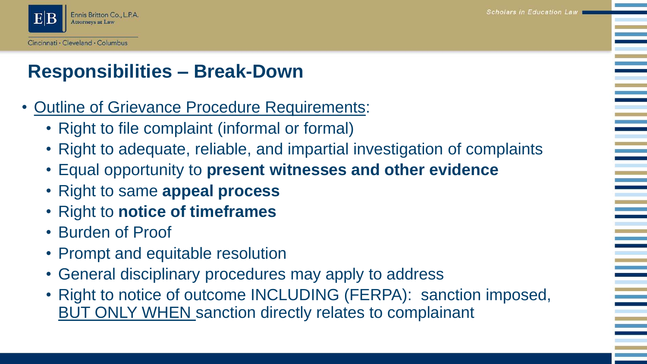

### **Responsibilities – Break-Down**

- Outline of Grievance Procedure Requirements:
	- Right to file complaint (informal or formal)
	- Right to adequate, reliable, and impartial investigation of complaints
	- Equal opportunity to **present witnesses and other evidence**
	- Right to same **appeal process**
	- Right to **notice of timeframes**
	- Burden of Proof
	- Prompt and equitable resolution
	- General disciplinary procedures may apply to address
	- Right to notice of outcome INCLUDING (FERPA): sanction imposed, BUT ONLY WHEN sanction directly relates to complainant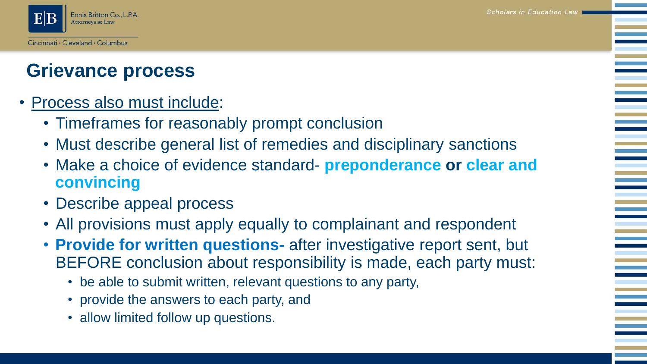

### **Grievance process**

- Process also must include:
	- Timeframes for reasonably prompt conclusion
	- Must describe general list of remedies and disciplinary sanctions
	- Make a choice of evidence standard- **preponderance or clear and convincing**
	- Describe appeal process
	- All provisions must apply equally to complainant and respondent
	- **Provide for written questions-** after investigative report sent, but BEFORE conclusion about responsibility is made, each party must:
		- be able to submit written, relevant questions to any party,
		- provide the answers to each party, and
		- allow limited follow up questions.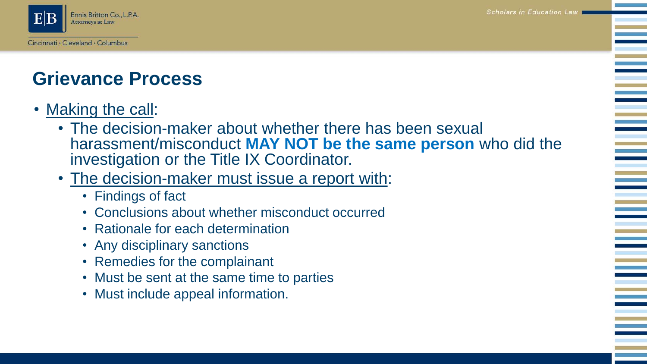

### **Grievance Process**

- Making the call:
	- The decision-maker about whether there has been sexual harassment/misconduct **MAY NOT be the same person** who did the investigation or the Title IX Coordinator.
	- The decision-maker must issue a report with:
		- Findings of fact
		- Conclusions about whether misconduct occurred
		- Rationale for each determination
		- Any disciplinary sanctions
		- Remedies for the complainant
		- Must be sent at the same time to parties
		- Must include appeal information.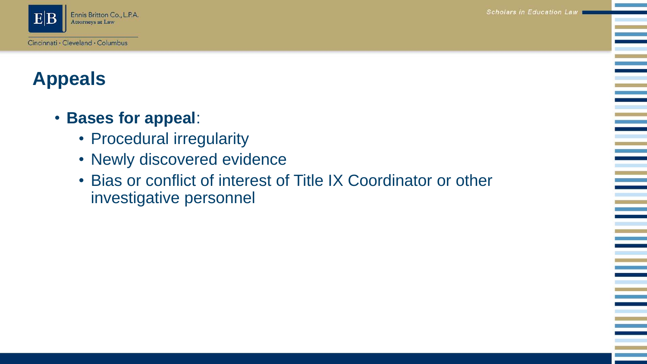Ξ

Ξ



### **Appeals**

#### • **Bases for appeal**:

- Procedural irregularity
- Newly discovered evidence
- Bias or conflict of interest of Title IX Coordinator or other investigative personnel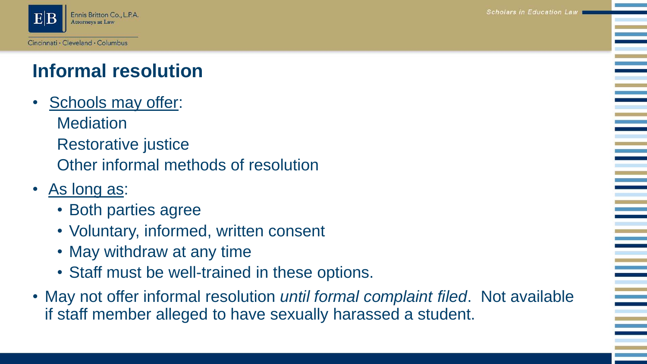

# **Informal resolution**

- Schools may offer: **Mediation** Restorative justice Other informal methods of resolution
- As long as:
	- Both parties agree
	- Voluntary, informed, written consent
	- May withdraw at any time
	- Staff must be well-trained in these options.
- May not offer informal resolution *until formal complaint filed*. Not available if staff member alleged to have sexually harassed a student.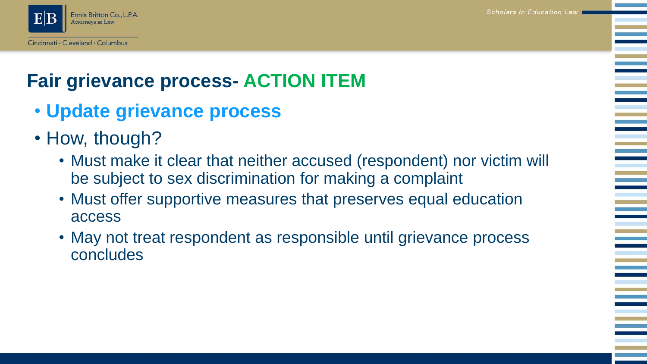

# **Fair grievance process- ACTION ITEM**

- **Update grievance process**
- How, though?
	- Must make it clear that neither accused (respondent) nor victim will be subject to sex discrimination for making a complaint
	- Must offer supportive measures that preserves equal education access
	- May not treat respondent as responsible until grievance process concludes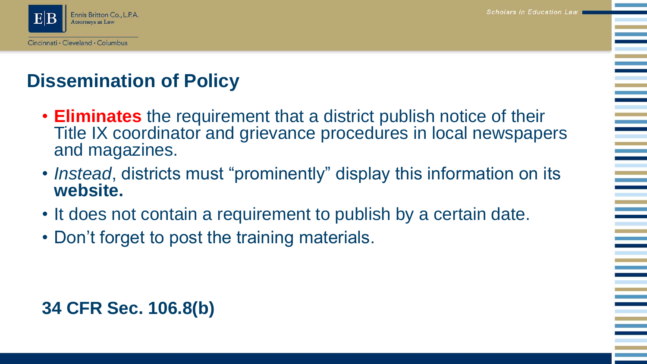

# **Dissemination of Policy**

- **Eliminates** the requirement that a district publish notice of their Title IX coordinator and grievance procedures in local newspapers and magazines.
- *Instead*, districts must "prominently" display this information on its **website.**
- It does not contain a requirement to publish by a certain date.
- Don't forget to post the training materials.

#### **34 CFR Sec. 106.8(b)**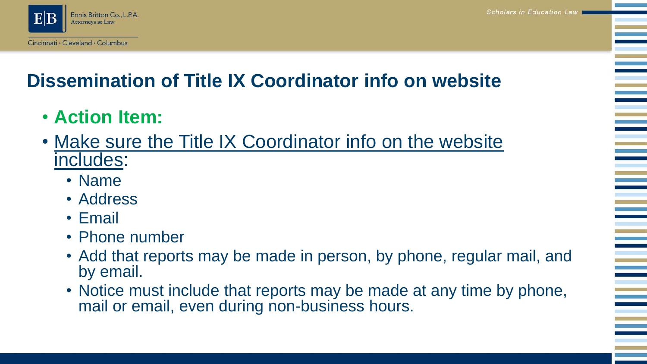

# **Dissemination of Title IX Coordinator info on website**

- **Action Item:**
- Make sure the Title IX Coordinator info on the website includes:
	- Name
	- Address
	- Email
	- Phone number
	- Add that reports may be made in person, by phone, regular mail, and by email.
	- Notice must include that reports may be made at any time by phone, mail or email, even during non-business hours.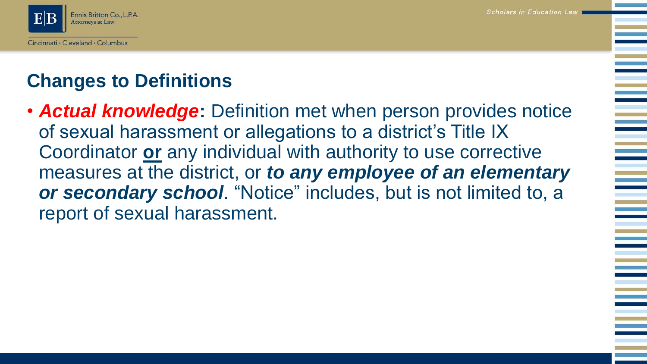

## **Changes to Definitions**

• *Actual knowledge***:** Definition met when person provides notice of sexual harassment or allegations to a district's Title IX Coordinator **or** any individual with authority to use corrective measures at the district, or *to any employee of an elementary or secondary school*. "Notice" includes, but is not limited to, a report of sexual harassment.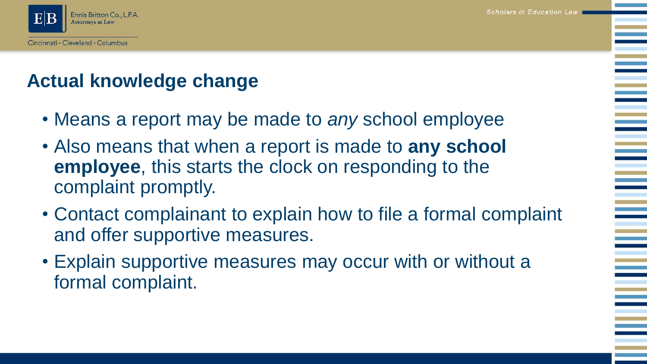

### **Actual knowledge change**

- Means a report may be made to *any* school employee
- Also means that when a report is made to **any school employee**, this starts the clock on responding to the complaint promptly.
- Contact complainant to explain how to file a formal complaint and offer supportive measures.
- Explain supportive measures may occur with or without a formal complaint.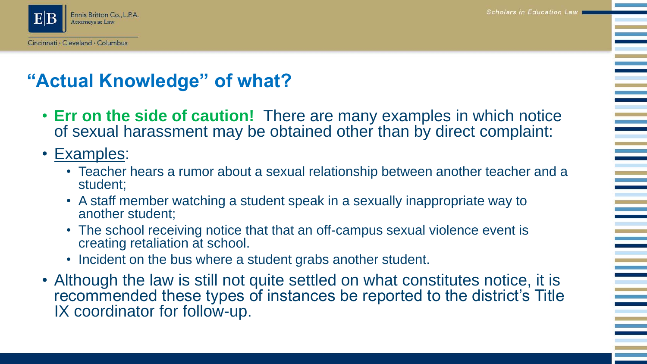

### **"Actual Knowledge" of what?**

- **Err on the side of caution!** There are many examples in which notice of sexual harassment may be obtained other than by direct complaint:
- Examples:
	- Teacher hears a rumor about a sexual relationship between another teacher and a student;
	- A staff member watching a student speak in a sexually inappropriate way to another student;
	- The school receiving notice that that an off-campus sexual violence event is creating retaliation at school.
	- Incident on the bus where a student grabs another student.
- Although the law is still not quite settled on what constitutes notice, it is recommended these types of instances be reported to the district's Title IX coordinator for follow-up.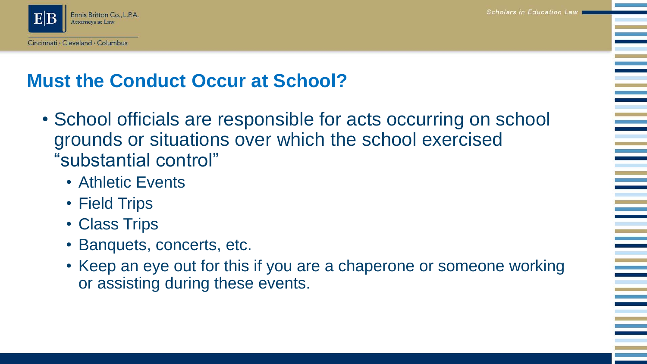

### **Must the Conduct Occur at School?**

- School officials are responsible for acts occurring on school grounds or situations over which the school exercised "substantial control"
	- Athletic Events
	- Field Trips
	- Class Trips
	- Banquets, concerts, etc.
	- Keep an eye out for this if you are a chaperone or someone working or assisting during these events.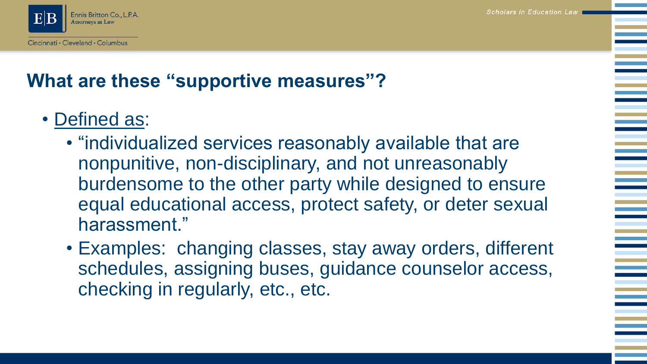

# **What are these "supportive measures"?**

- Defined as:
	- "individualized services reasonably available that are nonpunitive, non-disciplinary, and not unreasonably burdensome to the other party while designed to ensure equal educational access, protect safety, or deter sexual harassment."
	- Examples: changing classes, stay away orders, different schedules, assigning buses, guidance counselor access, checking in regularly, etc., etc.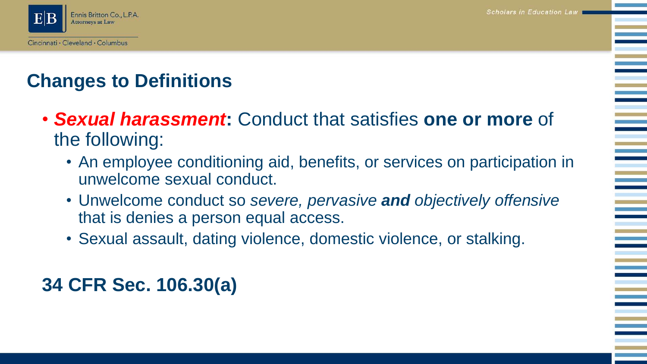

# **Changes to Definitions**

- *Sexual harassment***:** Conduct that satisfies **one or more** of the following:
	- An employee conditioning aid, benefits, or services on participation in unwelcome sexual conduct.
	- Unwelcome conduct so *severe, pervasive and objectively offensive*  that is denies a person equal access.
	- Sexual assault, dating violence, domestic violence, or stalking.

### **34 CFR Sec. 106.30(a)**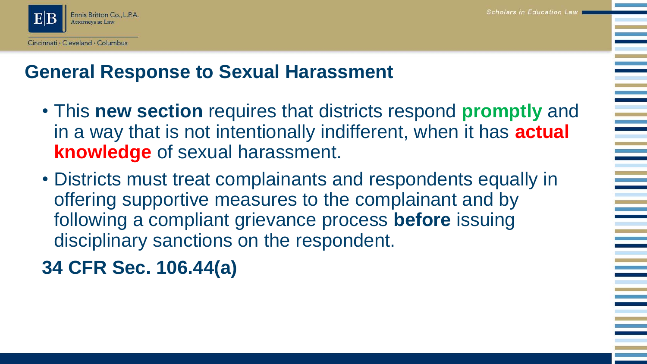#### Cincinnati · Cleveland · Columbus

### **General Response to Sexual Harassment**

- This **new section** requires that districts respond **promptly** and in a way that is not intentionally indifferent, when it has **actual knowledge** of sexual harassment.
- Districts must treat complainants and respondents equally in offering supportive measures to the complainant and by following a compliant grievance process **before** issuing disciplinary sanctions on the respondent.

**34 CFR Sec. 106.44(a)**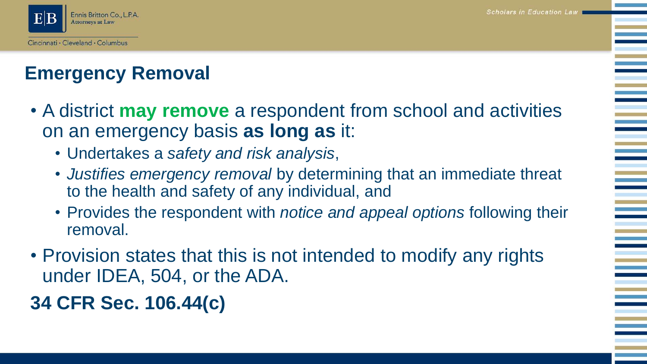

## **Emergency Removal**

- A district **may remove** a respondent from school and activities on an emergency basis **as long as** it:
	- Undertakes a *safety and risk analysis*,
	- *Justifies emergency removal* by determining that an immediate threat to the health and safety of any individual, and
	- Provides the respondent with *notice and appeal options* following their removal.
- Provision states that this is not intended to modify any rights under IDEA, 504, or the ADA.
- **34 CFR Sec. 106.44(c)**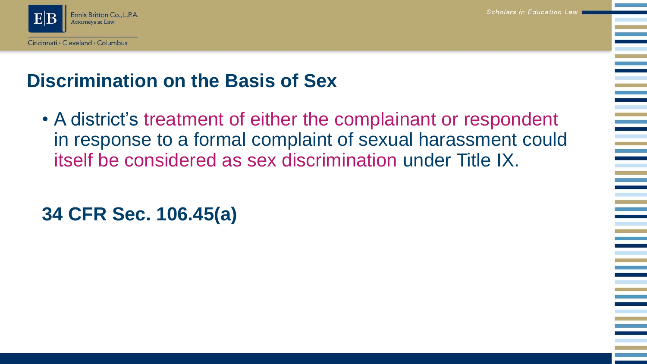Ennis Britton Co., L.P.A. **Attorneys at Law** 

### **Discrimination on the Basis of Sex**

• A district's treatment of either the complainant or respondent in response to a formal complaint of sexual harassment could itself be considered as sex discrimination under Title IX.

### **34 CFR Sec. 106.45(a)**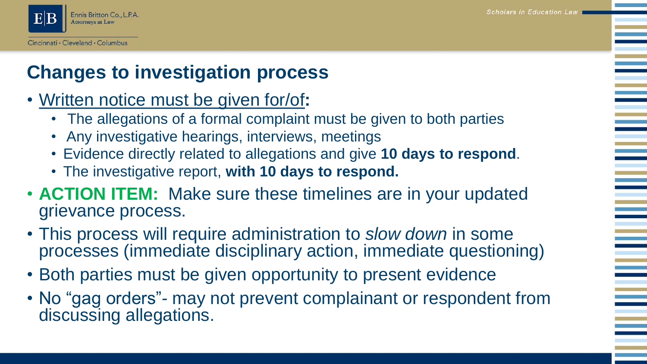

# **Changes to investigation process**

- Written notice must be given for/of**:**
	- The allegations of a formal complaint must be given to both parties
	- Any investigative hearings, interviews, meetings
	- Evidence directly related to allegations and give **10 days to respond**.
	- The investigative report, **with 10 days to respond.**
- **ACTION ITEM:** Make sure these timelines are in your updated grievance process.
- This process will require administration to *slow down* in some processes (immediate disciplinary action, immediate questioning)
- Both parties must be given opportunity to present evidence
- No "gag orders" may not prevent complainant or respondent from discussing allegations.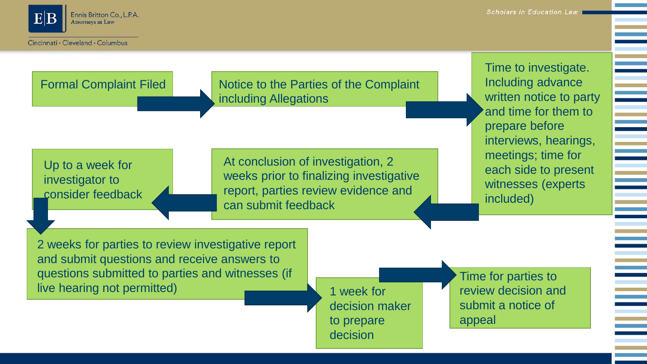

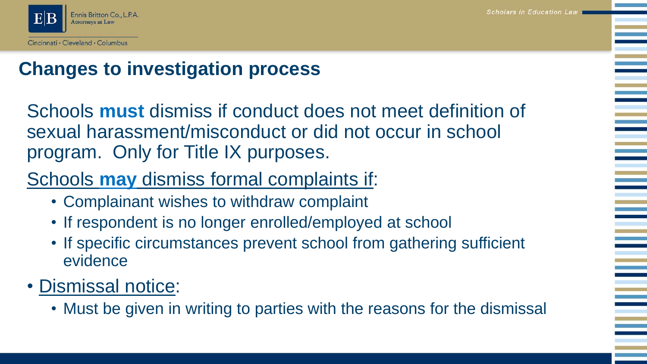

### **Changes to investigation process**

Schools **must** dismiss if conduct does not meet definition of sexual harassment/misconduct or did not occur in school program. Only for Title IX purposes.

# Schools **may** dismiss formal complaints if:

- Complainant wishes to withdraw complaint
- If respondent is no longer enrolled/employed at school
- If specific circumstances prevent school from gathering sufficient evidence
- Dismissal notice:
	- Must be given in writing to parties with the reasons for the dismissal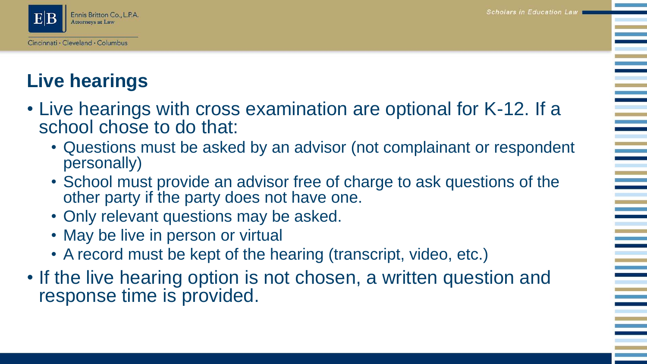

# **Live hearings**

- Live hearings with cross examination are optional for K-12. If a school chose to do that:
	- Questions must be asked by an advisor (not complainant or respondent personally)
	- School must provide an advisor free of charge to ask questions of the other party if the party does not have one.
	- Only relevant questions may be asked.
	- May be live in person or virtual
	- A record must be kept of the hearing (transcript, video, etc.)
- If the live hearing option is not chosen, a written question and response time is provided.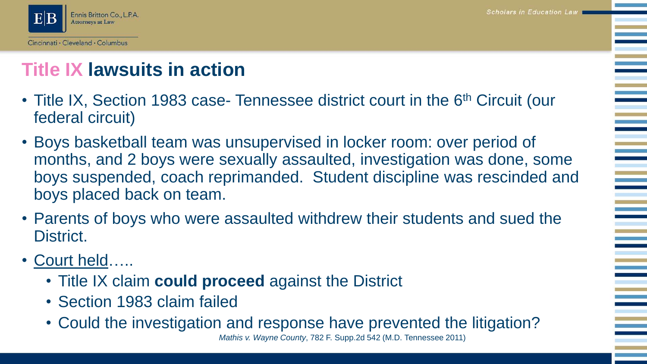

# **Title IX lawsuits in action**

- Title IX, Section 1983 case- Tennessee district court in the 6<sup>th</sup> Circuit (our federal circuit)
- Boys basketball team was unsupervised in locker room: over period of months, and 2 boys were sexually assaulted, investigation was done, some boys suspended, coach reprimanded. Student discipline was rescinded and boys placed back on team.
- Parents of boys who were assaulted withdrew their students and sued the District.
- Court held…..
	- Title IX claim **could proceed** against the District
	- Section 1983 claim failed
	- Could the investigation and response have prevented the litigation?

*Mathis v. Wayne County*, 782 F. Supp.2d 542 (M.D. Tennessee 2011)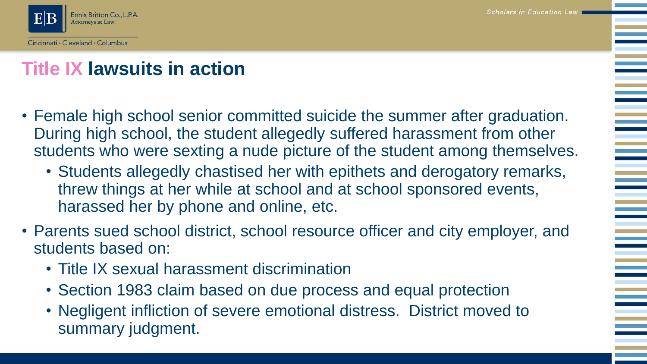

# **Title IX lawsuits in action**

- Female high school senior committed suicide the summer after graduation. During high school, the student allegedly suffered harassment from other students who were sexting a nude picture of the student among themselves.
	- Students allegedly chastised her with epithets and derogatory remarks, threw things at her while at school and at school sponsored events, harassed her by phone and online, etc.
- Parents sued school district, school resource officer and city employer, and students based on:
	- Title IX sexual harassment discrimination
	- Section 1983 claim based on due process and equal protection
	- Negligent infliction of severe emotional distress. District moved to summary judgment.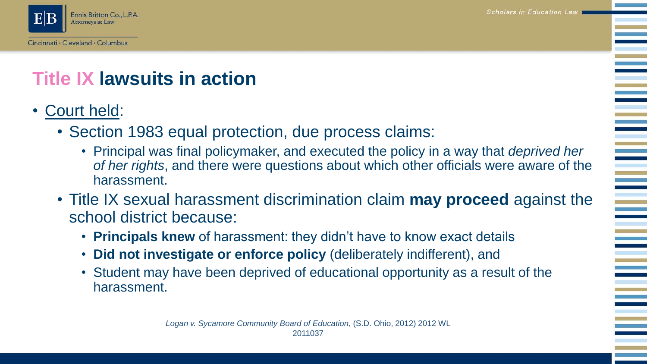

# **Title IX lawsuits in action**

- Court held:
	- Section 1983 equal protection, due process claims:
		- Principal was final policymaker, and executed the policy in a way that *deprived her of her rights*, and there were questions about which other officials were aware of the harassment.
	- Title IX sexual harassment discrimination claim **may proceed** against the school district because:
		- **Principals knew** of harassment: they didn't have to know exact details
		- **Did not investigate or enforce policy** (deliberately indifferent), and
		- Student may have been deprived of educational opportunity as a result of the harassment.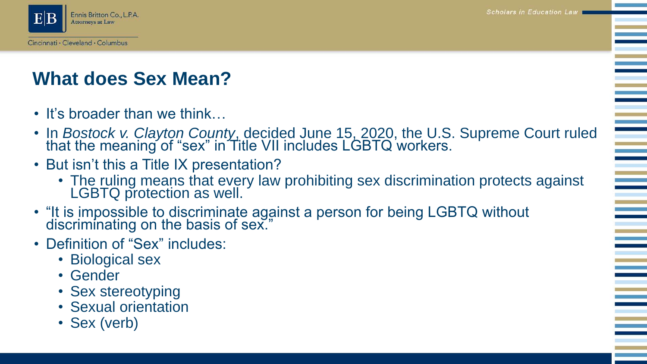**Scholars in Education Law** 



# **What does Sex Mean?**

- It's broader than we think...
- In *Bostock v. Clayton County*, decided June 15, 2020, the U.S. Supreme Court ruled that the meaning of "sex" in Title VII includes LGBTQ workers.
- But isn't this a Title IX presentation?
	- The ruling means that every law prohibiting sex discrimination protects against LGBTQ protection as well.
- "It is impossible to discriminate against a person for being LGBTQ without discriminating on the basis of sex."
- Definition of "Sex" includes:
	- Biological sex
	- Gender
	- Sex stereotyping
	- Sexual orientation
	- Sex (verb)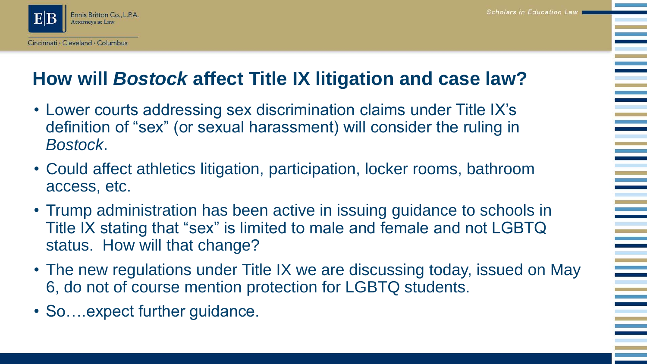**Scholars in Education Law** 



# **How will** *Bostock* **affect Title IX litigation and case law?**

- Lower courts addressing sex discrimination claims under Title IX's definition of "sex" (or sexual harassment) will consider the ruling in *Bostock*.
- Could affect athletics litigation, participation, locker rooms, bathroom access, etc.
- Trump administration has been active in issuing guidance to schools in Title IX stating that "sex" is limited to male and female and not LGBTQ status. How will that change?
- The new regulations under Title IX we are discussing today, issued on May 6, do not of course mention protection for LGBTQ students.
- So....expect further guidance.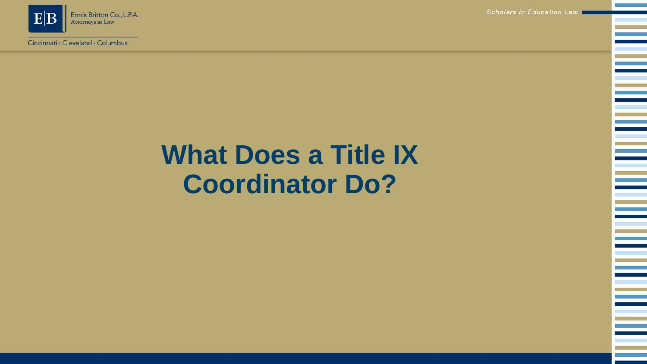

Scholars in Education Law

Ξ

# **What Does a Title IX Coordinator Do?**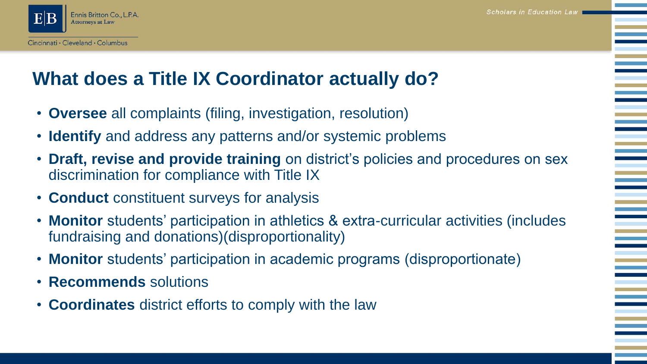

#### **What does a Title IX Coordinator actually do?**

- **Oversee** all complaints (filing, investigation, resolution)
- **Identify** and address any patterns and/or systemic problems
- **Draft, revise and provide training** on district's policies and procedures on sex discrimination for compliance with Title IX
- **Conduct** constituent surveys for analysis
- **Monitor** students' participation in athletics & extra-curricular activities (includes fundraising and donations)(disproportionality)
- **Monitor** students' participation in academic programs (disproportionate)
- **Recommends** solutions
- **Coordinates** district efforts to comply with the law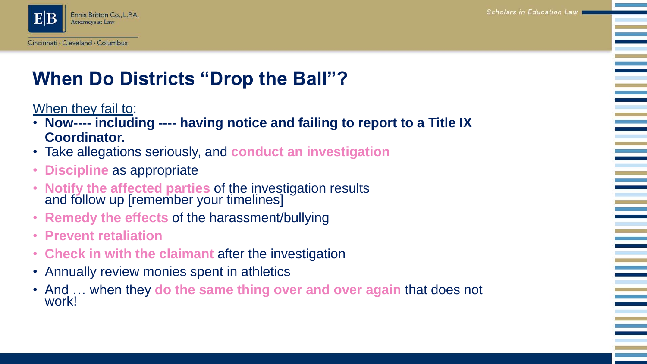

# **When Do Districts "Drop the Ball"?**

#### When they fail to:

- **Now---- including ---- having notice and failing to report to a Title IX Coordinator.**
- Take allegations seriously, and **conduct an investigation**
- **Discipline** as appropriate
- **Notify the affected parties** of the investigation results and follow up [remember your timelines]
- **Remedy the effects** of the harassment/bullying
- **Prevent retaliation**
- **Check in with the claimant** after the investigation
- Annually review monies spent in athletics
- And … when they **do the same thing over and over again** that does not work!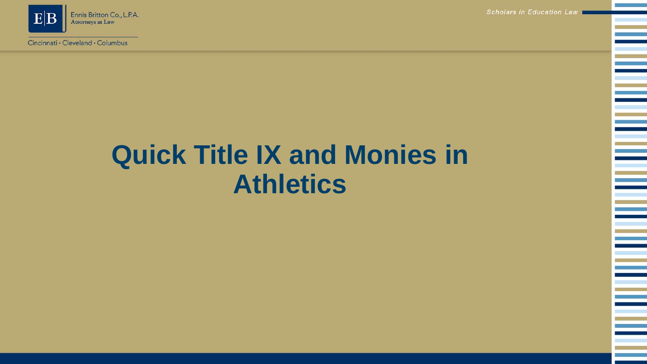

Scholars in Education Law

# **Quick Title IX and Monies in Athletics**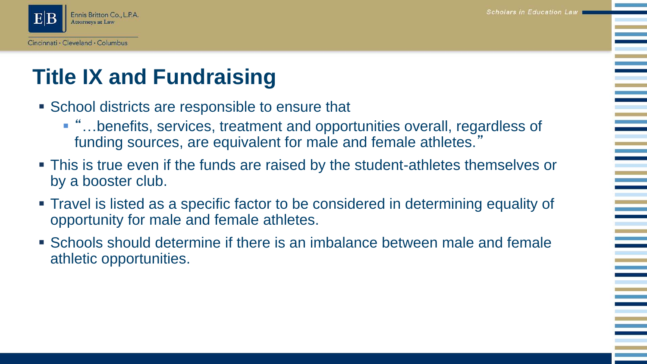

# **Title IX and Fundraising**

- School districts are responsible to ensure that
	- "...benefits, services, treatment and opportunities overall, regardless of funding sources, are equivalent for male and female athletes."
- This is true even if the funds are raised by the student-athletes themselves or by a booster club.
- Travel is listed as a specific factor to be considered in determining equality of opportunity for male and female athletes.
- **Schools should determine if there is an imbalance between male and female** athletic opportunities.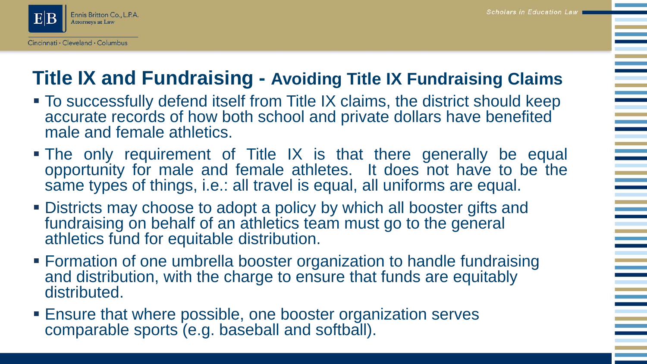**Scholars in Education Law** 



### **Title IX and Fundraising - Avoiding Title IX Fundraising Claims**

- To successfully defend itself from Title IX claims, the district should keep accurate records of how both school and private dollars have benefited male and female athletics.
- The only requirement of Title IX is that there generally be equal opportunity for male and female athletes. It does not have to be the same types of things, i.e.: all travel is equal, all uniforms are equal.
- Districts may choose to adopt a policy by which all booster gifts and fundraising on behalf of an athletics team must go to the general athletics fund for equitable distribution.
- **Example 1** Formation of one umbrella booster organization to handle fundraising and distribution, with the charge to ensure that funds are equitably distributed.
- Ensure that where possible, one booster organization serves comparable sports (e.g. baseball and softball).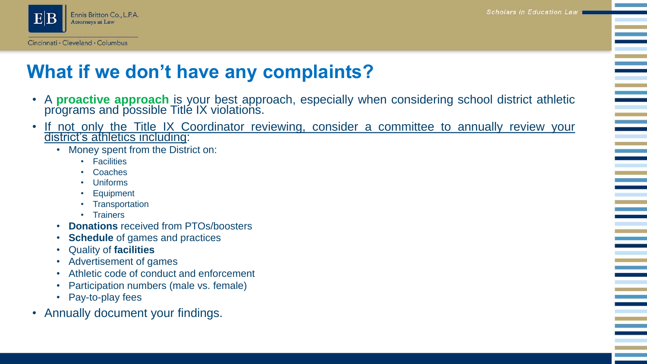

#### **What if we don't have any complaints?**

- A **proactive approach** is your best approach, especially when considering school district athletic programs and possible Titlé IX violations.
- If not only the Title IX Coordinator reviewing, consider a committee to annually review your district's athletics including:
	- Money spent from the District on:
		- Facilities
		- Coaches
		- Uniforms
		- Equipment
		- Transportation
		- Trainers
	- **Donations** received from PTOs/boosters
	- **Schedule** of games and practices
	- Quality of **facilities**
	- Advertisement of games
	- Athletic code of conduct and enforcement
	- Participation numbers (male vs. female)
	- Pay-to-play fees
- Annually document your findings.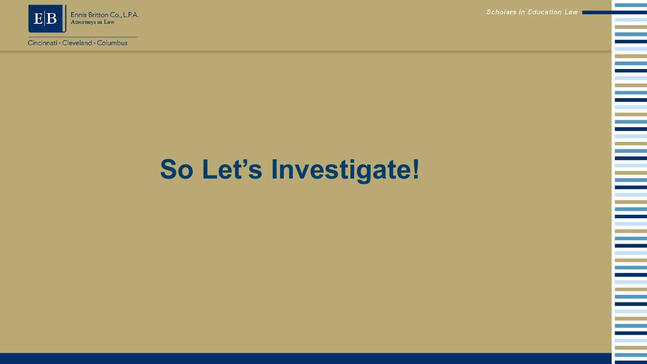

Scholars in Education Law

Ξ

Ξ

Ξ

Ξ

# **So Let's Investigate!**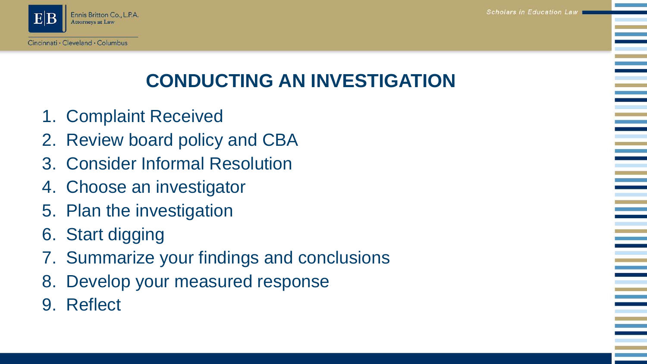Scholars in Education Law



# **CONDUCTING AN INVESTIGATION**

- 1. Complaint Received
- 2. Review board policy and CBA
- 3. Consider Informal Resolution
- 4. Choose an investigator
- 5. Plan the investigation
- 6. Start digging
- 7. Summarize your findings and conclusions
- 8. Develop your measured response
- 9. Reflect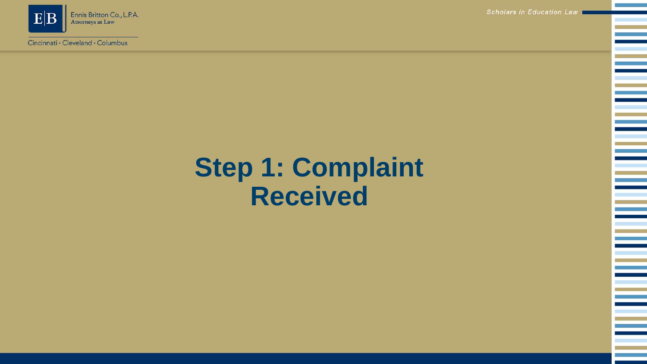

Scholars in Education Law

Ξ

Ξ

# **Step 1: Complaint Received**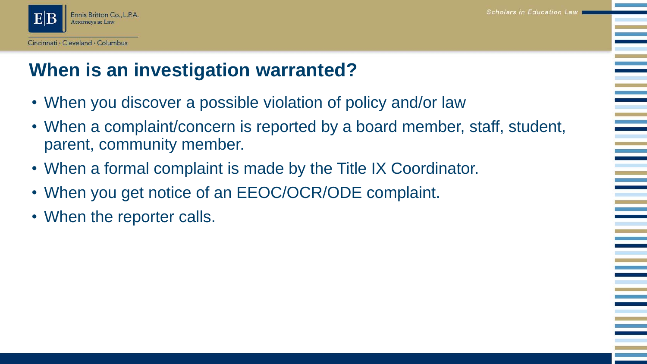# **When is an investigation warranted?**

- When you discover a possible violation of policy and/or law
- When a complaint/concern is reported by a board member, staff, student, parent, community member.
- When a formal complaint is made by the Title IX Coordinator.
- When you get notice of an EEOC/OCR/ODE complaint.
- When the reporter calls.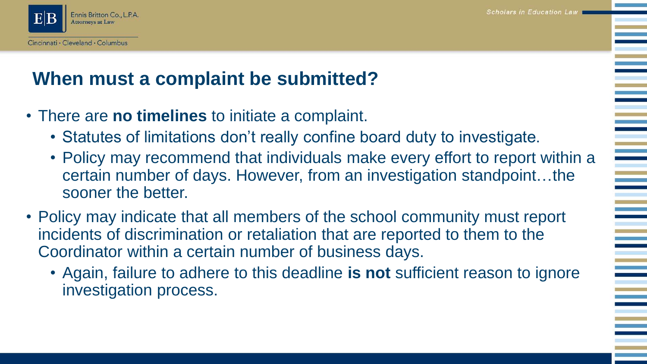

#### **When must a complaint be submitted?**

- There are **no timelines** to initiate a complaint.
	- Statutes of limitations don't really confine board duty to investigate.
	- Policy may recommend that individuals make every effort to report within a certain number of days. However, from an investigation standpoint…the sooner the better.
- Policy may indicate that all members of the school community must report incidents of discrimination or retaliation that are reported to them to the Coordinator within a certain number of business days.
	- Again, failure to adhere to this deadline **is not** sufficient reason to ignore investigation process.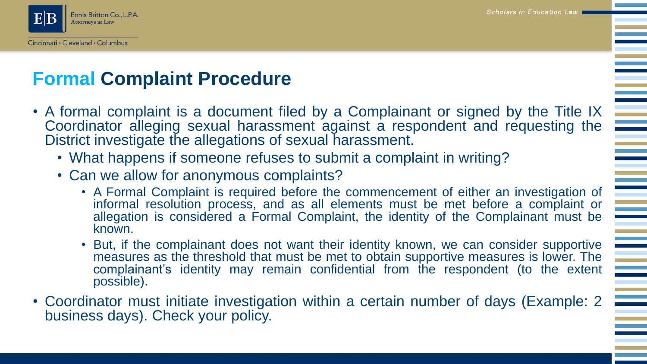

#### **Formal Complaint Procedure**

- A formal complaint is a document filed by a Complainant or signed by the Title IX Coordinator alleging sexual harassment against a respondent and requesting the District investigate the allegations of sexual harassment.
	- What happens if someone refuses to submit a complaint in writing?
	- Can we allow for anonymous complaints?
		- A Formal Complaint is required before the commencement of either an investigation of informal resolution process, and as all elements must be met before a complaint or allegation is considered a Formal Complaint, the identity of the Complainant must be known.
		- But, if the complainant does not want their identity known, we can consider supportive measures as the threshold that must be met to obtain supportive measures is lower. The complainant's identity may remain confidential from the respondent (to the extent possible).
- Coordinator must initiate investigation within a certain number of days (Example: 2 business days). Check your policy.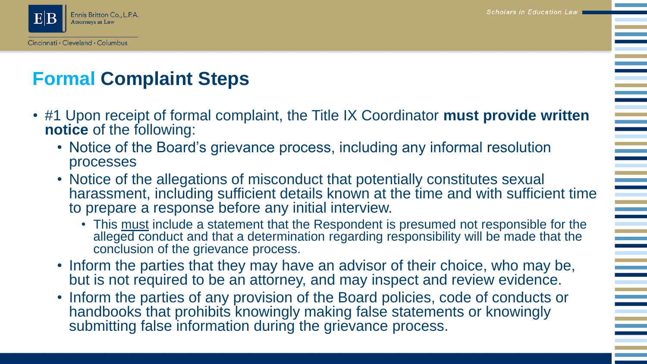

# **Formal Complaint Steps**

- #1 Upon receipt of formal complaint, the Title IX Coordinator **must provide written notice** of the following:
	- Notice of the Board's grievance process, including any informal resolution processes
	- Notice of the allegations of misconduct that potentially constitutes sexual harassment, including sufficient details known at the time and with sufficient time to prepare a response before any initial interview.
		- This must include a statement that the Respondent is presumed not responsible for the alleged conduct and that a determination regarding responsibility will be made that the conclusion of the grievance process.
	- Inform the parties that they may have an advisor of their choice, who may be, but is not required to be an attorney, and may inspect and review evidence.
	- Inform the parties of any provision of the Board policies, code of conducts or handbooks that prohibits knowingly making false statements or knowingly submitting false information during the grievance process.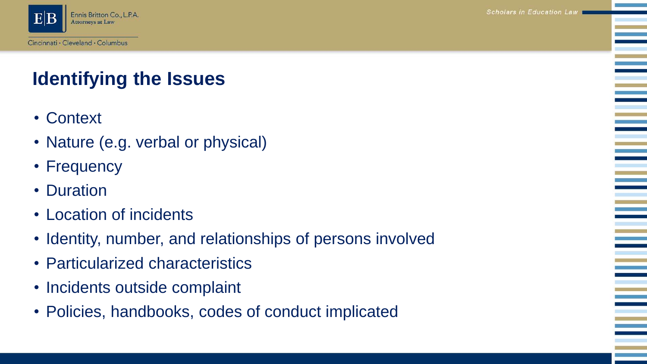



# **Identifying the Issues**

- Context
- Nature (e.g. verbal or physical)
- Frequency
- Duration
- Location of incidents
- Identity, number, and relationships of persons involved
- Particularized characteristics
- Incidents outside complaint
- Policies, handbooks, codes of conduct implicated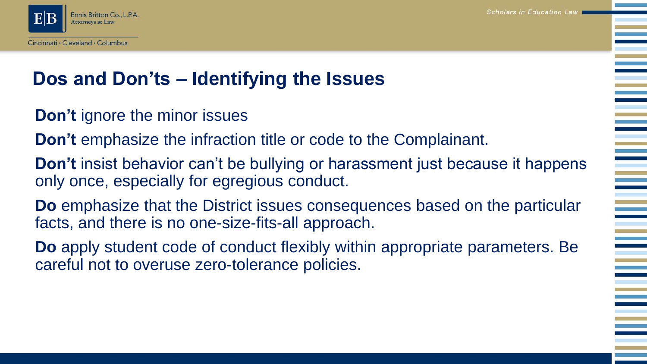

#### **Dos and Don'ts – Identifying the Issues**

- **Don't** ignore the minor issues
- **Don't** emphasize the infraction title or code to the Complainant.
- **Don't** insist behavior can't be bullying or harassment just because it happens only once, especially for egregious conduct.
- **Do** emphasize that the District issues consequences based on the particular facts, and there is no one-size-fits-all approach.
- **Do** apply student code of conduct flexibly within appropriate parameters. Be careful not to overuse zero-tolerance policies.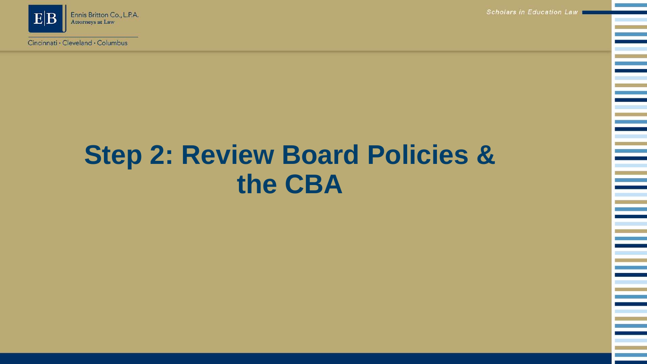

Scholars in Education Law

# **Step 2: Review Board Policies & the CBA**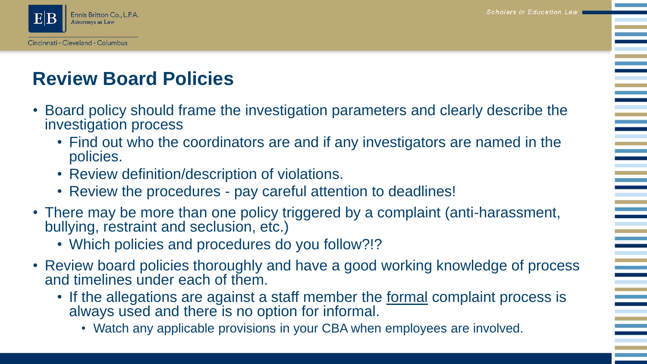

### **Review Board Policies**

- Board policy should frame the investigation parameters and clearly describe the investigation process
	- Find out who the coordinators are and if any investigators are named in the policies.
	- Review definition/description of violations.
	- Review the procedures pay careful attention to deadlines!
- There may be more than one policy triggered by a complaint (anti-harassment, bullying, restraint and seclusion, etc.)
	- Which policies and procedures do you follow?!?
- Review board policies thoroughly and have a good working knowledge of process and timelines under each of them.
	- If the allegations are against a staff member the <u>formal</u> complaint process is always used and there is no option for informal.
		- Watch any applicable provisions in your CBA when employees are involved.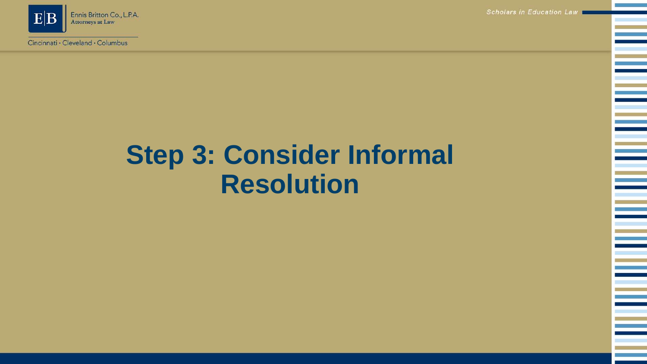

Scholars in Education Law

# **Step 3: Consider Informal Resolution**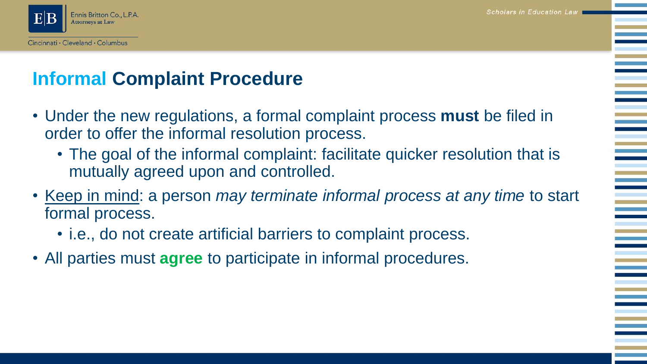

### **Informal Complaint Procedure**

- Under the new regulations, a formal complaint process **must** be filed in order to offer the informal resolution process.
	- The goal of the informal complaint: facilitate quicker resolution that is mutually agreed upon and controlled.
- Keep in mind: a person *may terminate informal process at any time* to start formal process.
	- i.e., do not create artificial barriers to complaint process.
- All parties must **agree** to participate in informal procedures.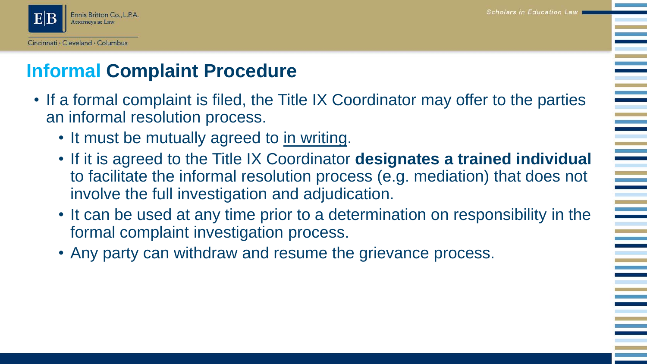

### **Informal Complaint Procedure**

- If a formal complaint is filed, the Title IX Coordinator may offer to the parties an informal resolution process.
	- It must be mutually agreed to in writing.
	- If it is agreed to the Title IX Coordinator **designates a trained individual**  to facilitate the informal resolution process (e.g. mediation) that does not involve the full investigation and adjudication.
	- It can be used at any time prior to a determination on responsibility in the formal complaint investigation process.
	- Any party can withdraw and resume the grievance process.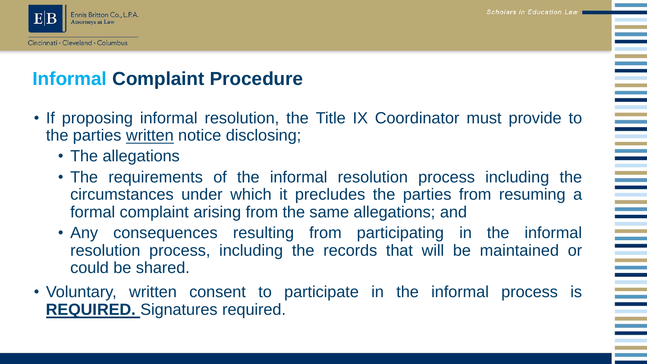**Scholars in Education Law** 



### **Informal Complaint Procedure**

- If proposing informal resolution, the Title IX Coordinator must provide to the parties written notice disclosing;
	- The allegations
	- The requirements of the informal resolution process including the circumstances under which it precludes the parties from resuming a formal complaint arising from the same allegations; and
	- Any consequences resulting from participating in the informal resolution process, including the records that will be maintained or could be shared.
- Voluntary, written consent to participate in the informal process is **REQUIRED.** Signatures required.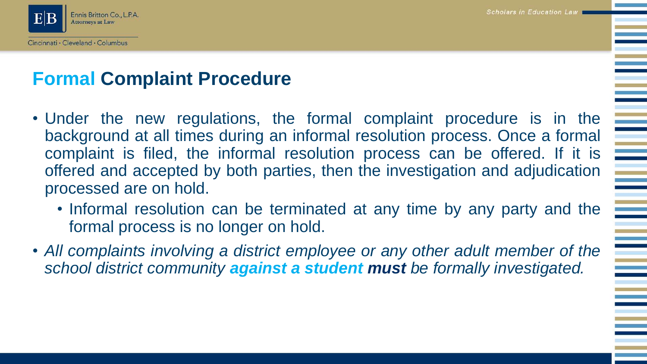**Scholars in Education Law** 



#### **Formal Complaint Procedure**

- Under the new regulations, the formal complaint procedure is in the background at all times during an informal resolution process. Once a formal complaint is filed, the informal resolution process can be offered. If it is offered and accepted by both parties, then the investigation and adjudication processed are on hold.
	- Informal resolution can be terminated at any time by any party and the formal process is no longer on hold.
- *All complaints involving a district employee or any other adult member of the school district community against a student must be formally investigated.*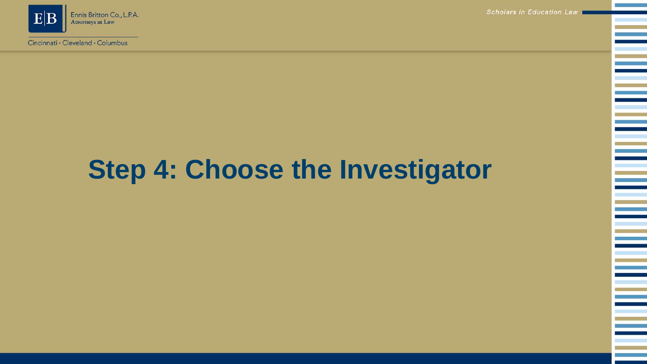

Scholars in Education Law

# **Step 4: Choose the Investigator**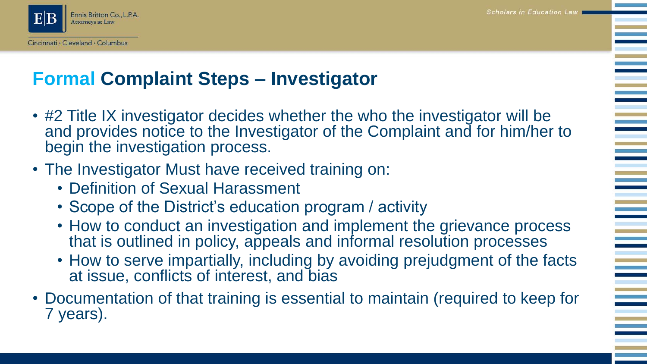

#### **Formal Complaint Steps – Investigator**

- #2 Title IX investigator decides whether the who the investigator will be and provides notice to the Investigator of the Complaint and for him/her to begin the investigation process.
- The Investigator Must have received training on:
	- Definition of Sexual Harassment
	- Scope of the District's education program / activity
	- How to conduct an investigation and implement the grievance process that is outlined in policy, appeals and informal resolution processes
	- How to serve impartially, including by avoiding prejudgment of the facts at issue, conflicts of interest, and bias
- Documentation of that training is essential to maintain (required to keep for 7 years).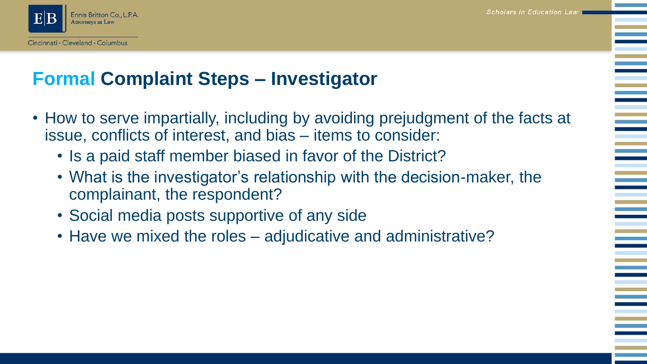

### **Formal Complaint Steps – Investigator**

- How to serve impartially, including by avoiding prejudgment of the facts at issue, conflicts of interest, and bias – items to consider:
	- Is a paid staff member biased in favor of the District?
	- What is the investigator's relationship with the decision-maker, the complainant, the respondent?
	- Social media posts supportive of any side
	- Have we mixed the roles adjudicative and administrative?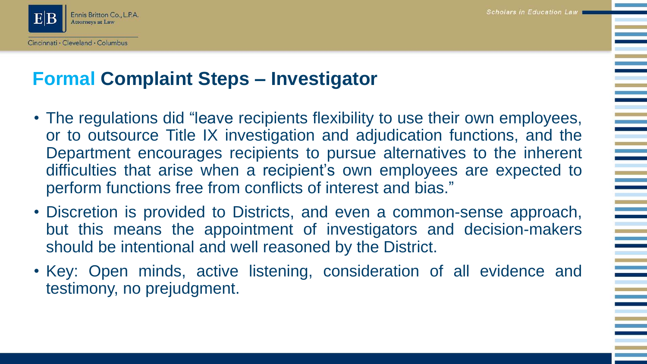

#### **Formal Complaint Steps – Investigator**

- The regulations did "leave recipients flexibility to use their own employees, or to outsource Title IX investigation and adjudication functions, and the Department encourages recipients to pursue alternatives to the inherent difficulties that arise when a recipient's own employees are expected to perform functions free from conflicts of interest and bias."
- Discretion is provided to Districts, and even a common-sense approach, but this means the appointment of investigators and decision-makers should be intentional and well reasoned by the District.
- Key: Open minds, active listening, consideration of all evidence and testimony, no prejudgment.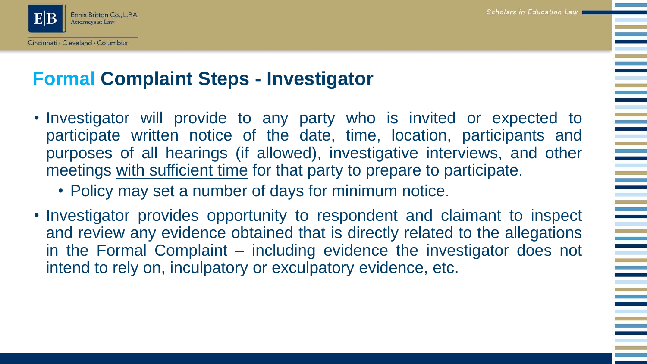

#### **Formal Complaint Steps - Investigator**

- Investigator will provide to any party who is invited or expected to participate written notice of the date, time, location, participants and purposes of all hearings (if allowed), investigative interviews, and other meetings with sufficient time for that party to prepare to participate.
	- Policy may set a number of days for minimum notice.
- Investigator provides opportunity to respondent and claimant to inspect and review any evidence obtained that is directly related to the allegations in the Formal Complaint – including evidence the investigator does not intend to rely on, inculpatory or exculpatory evidence, etc.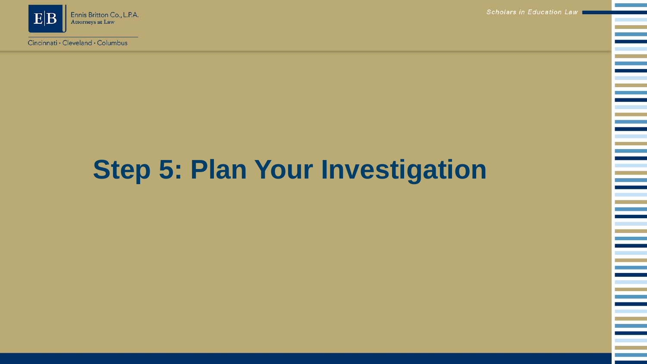

Cincinnati · Cleveland · Columbus

Scholars in Education Law

# **Step 5: Plan Your Investigation**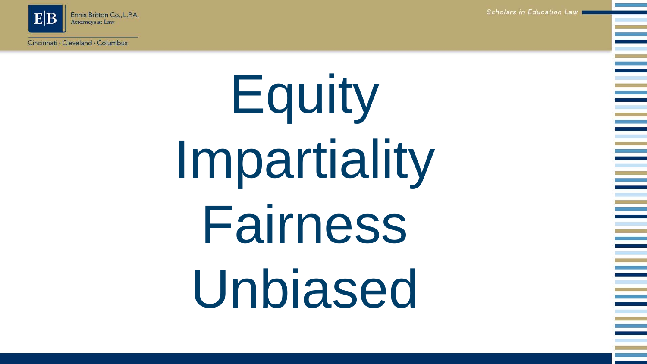Ennis Britton Co., L.P.A. **Attorneys at Law** 

Cincinnati · Cleveland · Columbus

Scholars in Education Law

Equity Impartiality Fairness Unbiased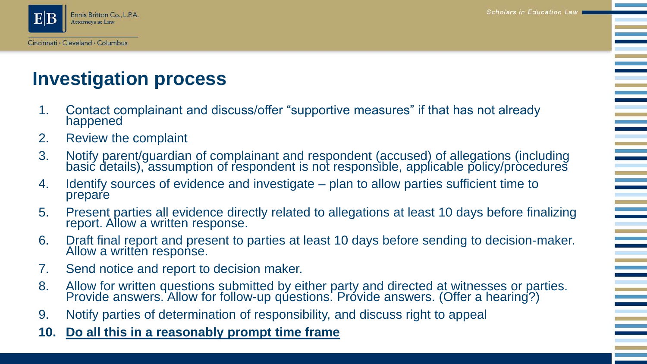

#### **Investigation process**

- 1. Contact complainant and discuss/offer "supportive measures" if that has not already happened
- 2. Review the complaint
- 3. Notify parent/guardian of complainant and respondent (accused) of allegations (including basić details), assumption of respondent is not responsible, applicable policy/pròcedures
- 4. Identify sources of evidence and investigate plan to allow parties sufficient time to prepare
- 5. Present parties all evidence directly related to allegations at least 10 days before finalizing report. Allow a written response.
- 6. Draft final report and present to parties at least 10 days before sending to decision-maker. Allow a written response.
- 7. Send notice and report to decision maker.
- 8. Allow for written questions submitted by either party and directed at witnesses or parties. Provide answers. Allow for follow-up questions. Provide answers. (Offer a hearing?)
- 9. Notify parties of determination of responsibility, and discuss right to appeal
- **10. Do all this in a reasonably prompt time frame**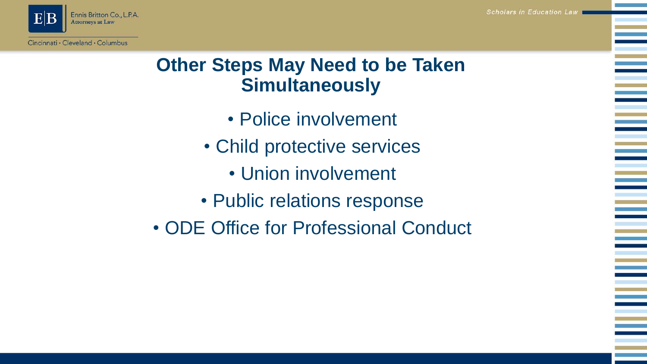

#### **Other Steps May Need to be Taken Simultaneously**

- Police involvement
- Child protective services
	- Union involvement
- Public relations response
- ODE Office for Professional Conduct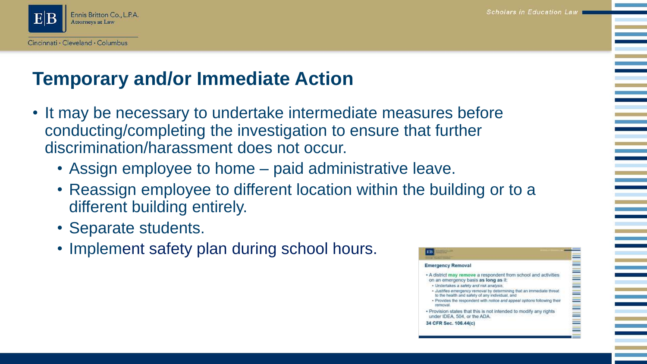

#### **Temporary and/or Immediate Action**

- It may be necessary to undertake intermediate measures before conducting/completing the investigation to ensure that further discrimination/harassment does not occur.
	- Assign employee to home paid administrative leave.
	- Reassign employee to different location within the building or to a different building entirely.
	- Separate students.
	- Implement safety plan during school hours.

#### **Emergency Removal** . A district may remove a respondent from school and activities on an emergency basis as long as it: · Undertakes a safety and risk analysis, . Justifies emergency removal by determining that an immediate threat to the health and safety of any individual, and · Provides the respondent with notice and appeal options following their removal . Provision states that this is not intended to modify any rights under IDEA, 504, or the ADA. 34 CFR Sec. 106.44(c)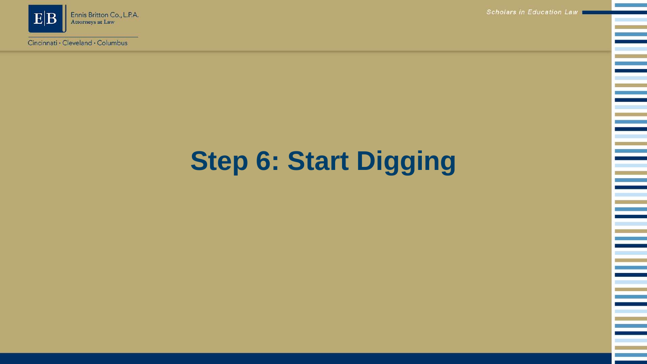

Cincinnati · Cleveland · Columbus

Scholars in Education Law

Ξ

Ξ

e<br>Belgi

e<br>H

# **Step 6: Start Digging**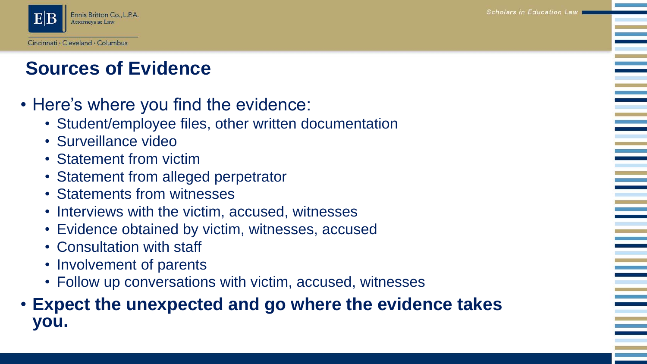Scholars in Education Law



#### **Sources of Evidence**

- Here's where you find the evidence:
	- Student/employee files, other written documentation
	- Surveillance video
	- Statement from victim
	- Statement from alleged perpetrator
	- Statements from witnesses
	- Interviews with the victim, accused, witnesses
	- Evidence obtained by victim, witnesses, accused
	- Consultation with staff
	- Involvement of parents
	- Follow up conversations with victim, accused, witnesses

#### • **Expect the unexpected and go where the evidence takes you.**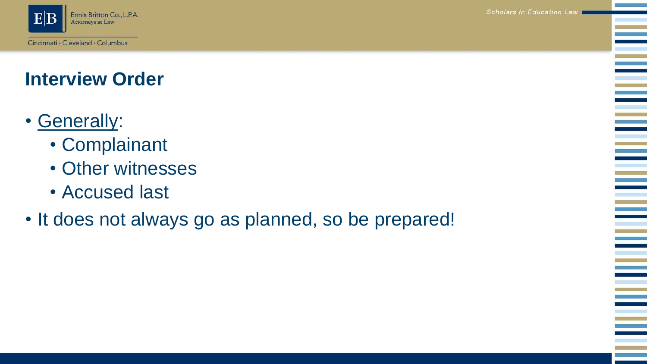

#### **Interview Order**

- Generally:
	- Complainant
	- Other witnesses
	- Accused last
- It does not always go as planned, so be prepared!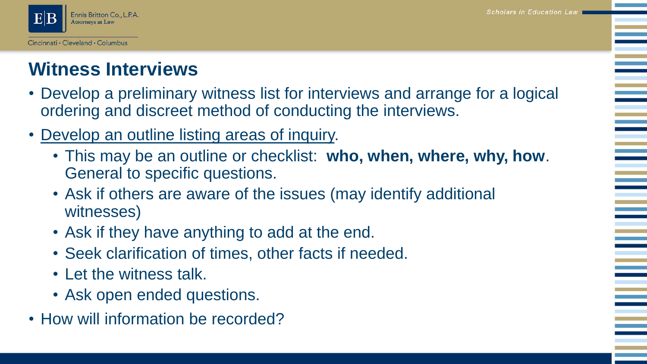

#### **Witness Interviews**

- Develop a preliminary witness list for interviews and arrange for a logical ordering and discreet method of conducting the interviews.
- Develop an outline listing areas of inquiry.
	- This may be an outline or checklist: **who, when, where, why, how**. General to specific questions.
	- Ask if others are aware of the issues (may identify additional witnesses)
	- Ask if they have anything to add at the end.
	- Seek clarification of times, other facts if needed.
	- Let the witness talk.
	- Ask open ended questions.
- How will information be recorded?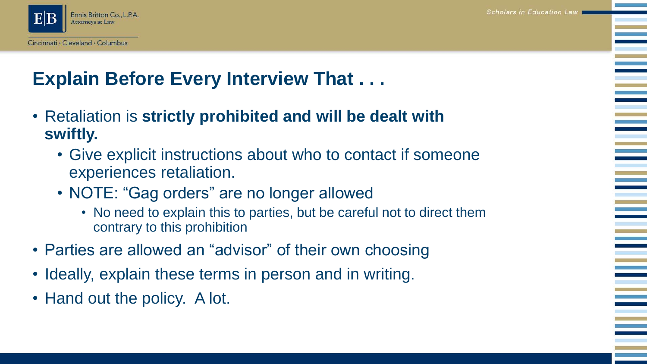

### **Explain Before Every Interview That . . .**

- Retaliation is **strictly prohibited and will be dealt with swiftly.** 
	- Give explicit instructions about who to contact if someone experiences retaliation.
	- NOTE: "Gag orders" are no longer allowed
		- No need to explain this to parties, but be careful not to direct them contrary to this prohibition
- Parties are allowed an "advisor" of their own choosing
- Ideally, explain these terms in person and in writing.
- Hand out the policy. A lot.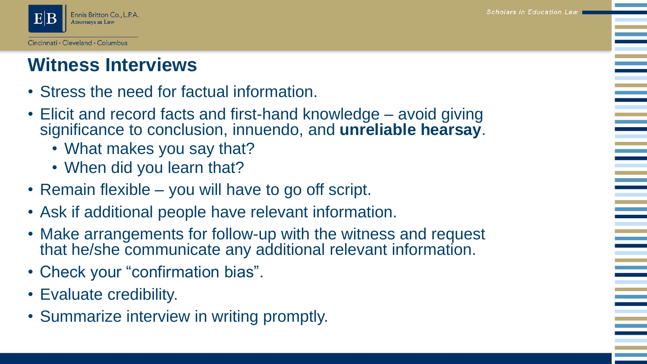

#### **Witness Interviews**

- Stress the need for factual information.
- Elicit and record facts and first-hand knowledge avoid giving significance to conclusion, innuendo, and **unreliable hearsay**.
	- What makes you say that?
	- When did you learn that?
- Remain flexible you will have to go off script.
- Ask if additional people have relevant information.
- Make arrangements for follow-up with the witness and request that he/she communicate any additional relevant information.
- Check your "confirmation bias".
- Evaluate credibility.
- Summarize interview in writing promptly.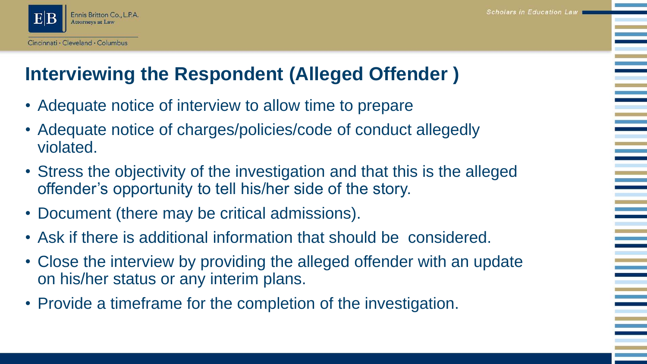

#### **Interviewing the Respondent (Alleged Offender )**

- Adequate notice of interview to allow time to prepare
- Adequate notice of charges/policies/code of conduct allegedly violated.
- Stress the objectivity of the investigation and that this is the alleged offender's opportunity to tell his/her side of the story.
- Document (there may be critical admissions).
- Ask if there is additional information that should be considered.
- Close the interview by providing the alleged offender with an update on his/her status or any interim plans.
- Provide a timeframe for the completion of the investigation.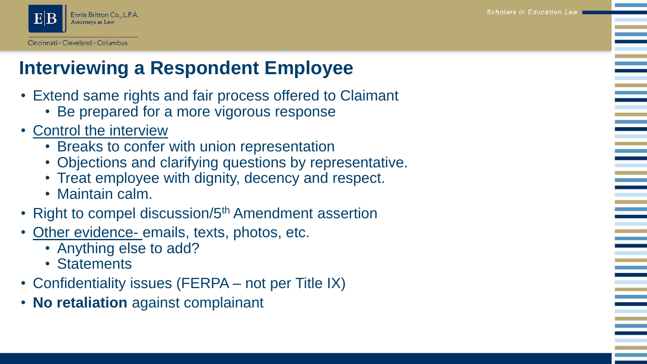

#### **Interviewing a Respondent Employee**

- Extend same rights and fair process offered to Claimant
	- Be prepared for a more vigorous response
- Control the interview
	- Breaks to confer with union representation
	- Objections and clarifying questions by representative.
	- Treat employee with dignity, decency and respect.
	- Maintain calm.
- Right to compel discussion/5<sup>th</sup> Amendment assertion
- Other evidence- emails, texts, photos, etc.
	- Anything else to add?
	- Statements
- Confidentiality issues (FERPA not per Title IX)
- **No retaliation** against complainant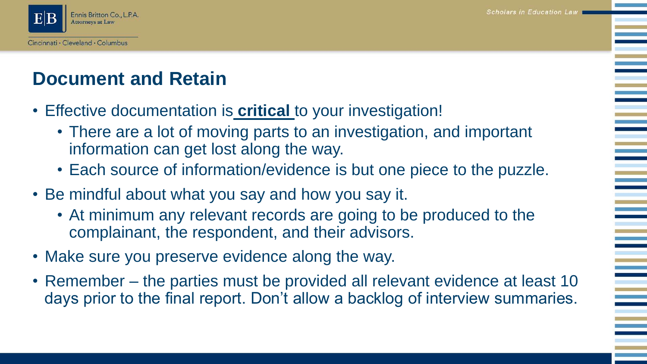

#### **Document and Retain**

- Effective documentation is **critical** to your investigation!
	- There are a lot of moving parts to an investigation, and important information can get lost along the way.
	- Each source of information/evidence is but one piece to the puzzle.
- Be mindful about what you say and how you say it.
	- At minimum any relevant records are going to be produced to the complainant, the respondent, and their advisors.
- Make sure you preserve evidence along the way.
- Remember the parties must be provided all relevant evidence at least 10 days prior to the final report. Don't allow a backlog of interview summaries.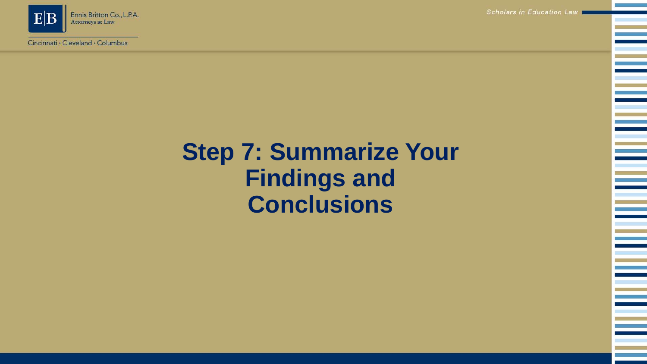

Cincinnati · Cleveland · Columbus

Scholars in Education Law

### **Step 7: Summarize Your Findings and Conclusions**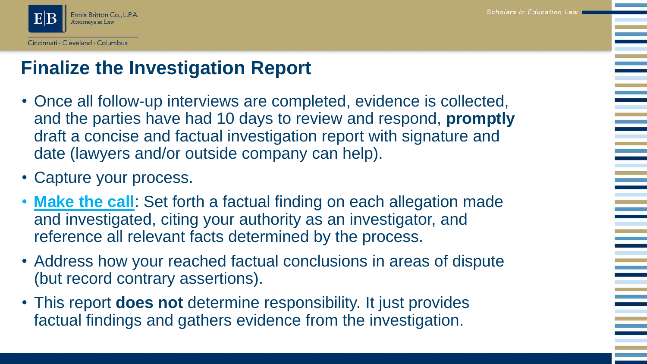

#### **Finalize the Investigation Report**

- Once all follow-up interviews are completed, evidence is collected, and the parties have had 10 days to review and respond, **promptly**  draft a concise and factual investigation report with signature and date (lawyers and/or outside company can help).
- Capture your process.
- **Make the call**: Set forth a factual finding on each allegation made and investigated, citing your authority as an investigator, and reference all relevant facts determined by the process.
- Address how your reached factual conclusions in areas of dispute (but record contrary assertions).
- This report **does not** determine responsibility. It just provides factual findings and gathers evidence from the investigation.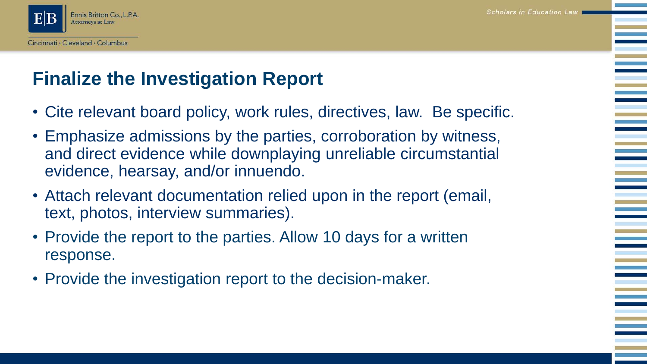

#### **Finalize the Investigation Report**

- Cite relevant board policy, work rules, directives, law. Be specific.
- Emphasize admissions by the parties, corroboration by witness, and direct evidence while downplaying unreliable circumstantial evidence, hearsay, and/or innuendo.
- Attach relevant documentation relied upon in the report (email, text, photos, interview summaries).
- Provide the report to the parties. Allow 10 days for a written response.
- Provide the investigation report to the decision-maker.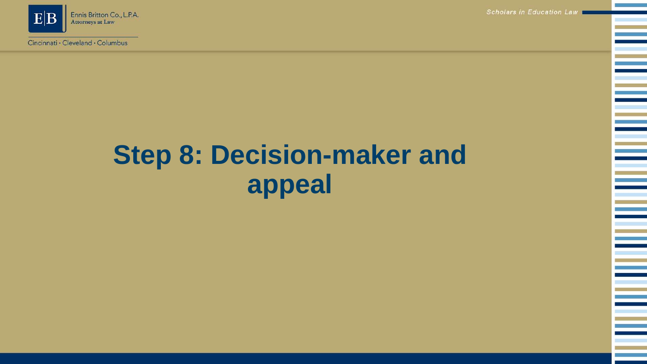

Cincinnati · Cleveland · Columbus

Scholars in Education Law

# **Step 8: Decision-maker and appeal**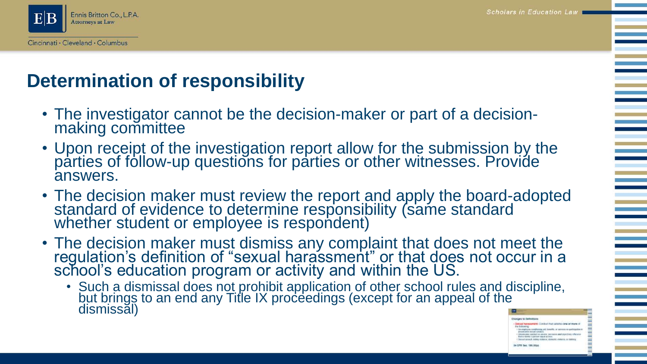

#### **Determination of responsibility**

- The investigator cannot be the decision-maker or part of a decisionmaking committee
- Upon receipt of the investigation report allow for the submission by the parties of follow-up questions for parties or other witnesses. Provide answers.
- The decision maker must review the report and apply the board-adopted standard of evidence to determine responsibility (same standard whether student or employee is respondent)
- The decision maker must dismiss any complaint that does not meet the regulation's definition of "sexual harassment" or that does not occur in a school's education program or activity and within the US.
	- Such a dismissal does not prohibit application of other school rules and discipline, but brings to an end any Title IX proceedings (except for an appeal of the dismissal)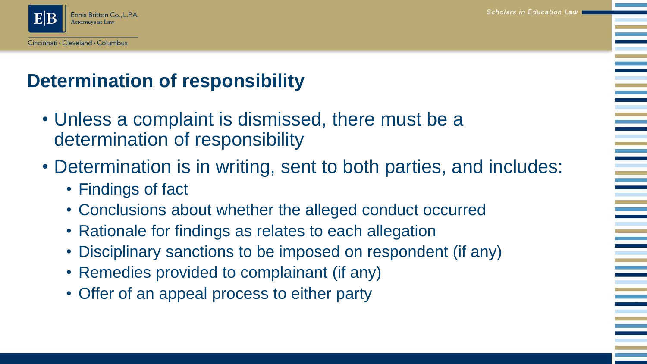Scholars in Education Law



### **Determination of responsibility**

- Unless a complaint is dismissed, there must be a determination of responsibility
- Determination is in writing, sent to both parties, and includes:
	- Findings of fact
	- Conclusions about whether the alleged conduct occurred
	- Rationale for findings as relates to each allegation
	- Disciplinary sanctions to be imposed on respondent (if any)
	- Remedies provided to complainant (if any)
	- Offer of an appeal process to either party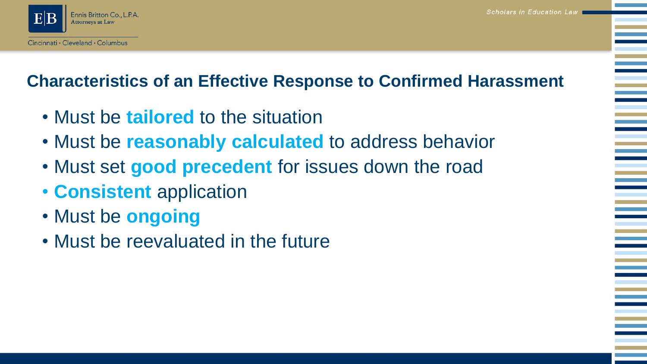

#### **Characteristics of an Effective Response to Confirmed Harassment**

- Must be **tailored** to the situation
- Must be **reasonably calculated** to address behavior
- Must set **good precedent** for issues down the road
- **Consistent** application
- Must be **ongoing**
- Must be reevaluated in the future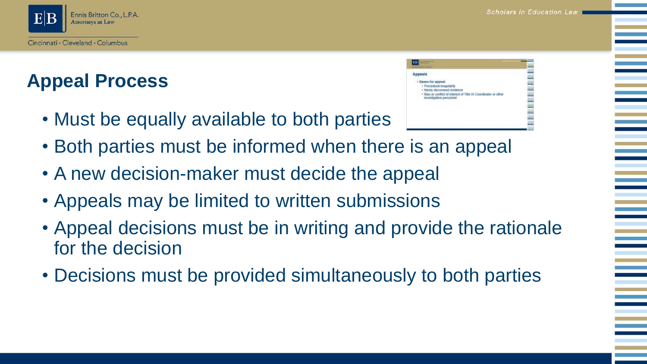Scholars in Education Law



### **Appeal Process**

• Must be equally available to both parties



- Both parties must be informed when there is an appeal
- A new decision-maker must decide the appeal
- Appeals may be limited to written submissions
- Appeal decisions must be in writing and provide the rationale for the decision
- Decisions must be provided simultaneously to both parties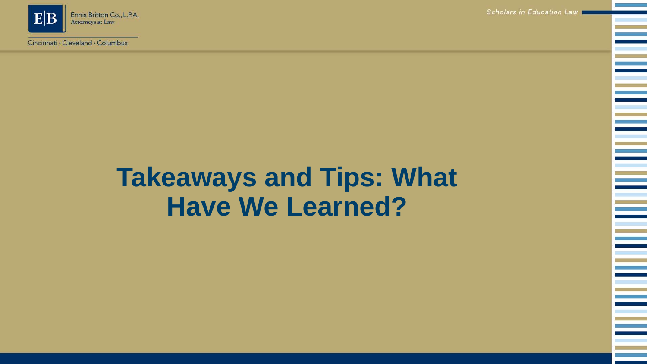

Cincinnati · Cleveland · Columbus

Scholars in Education Law

### **Takeaways and Tips: What Have We Learned?**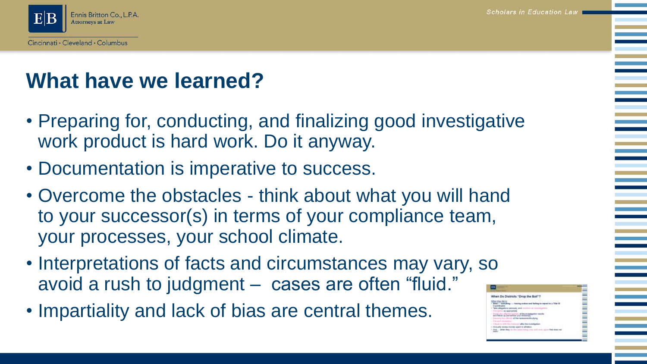

### **What have we learned?**

- Preparing for, conducting, and finalizing good investigative work product is hard work. Do it anyway.
- Documentation is imperative to success.
- Overcome the obstacles think about what you will hand to your successor(s) in terms of your compliance team, your processes, your school climate.
- Interpretations of facts and circumstances may vary, so avoid a rush to judgment – cases are often "fluid."
- Impartiality and lack of bias are central themes.

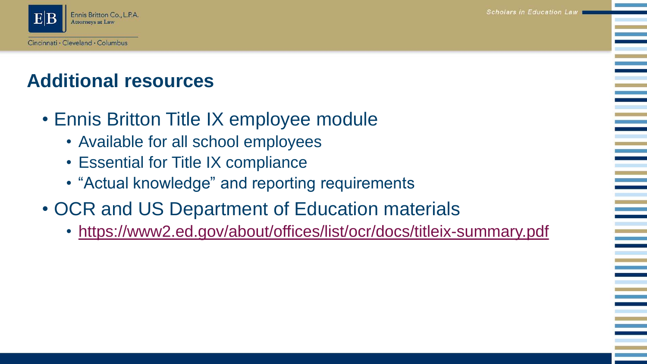**Scholars in Education Law** 



### **Additional resources**

- Ennis Britton Title IX employee module
	- Available for all school employees
	- Essential for Title IX compliance
	- "Actual knowledge" and reporting requirements
- OCR and US Department of Education materials
	- <https://www2.ed.gov/about/offices/list/ocr/docs/titleix-summary.pdf>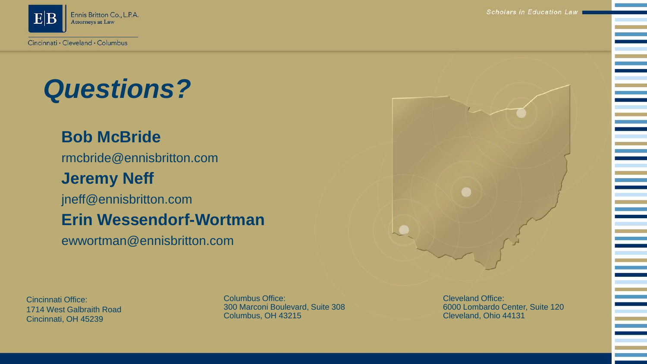

# *Questions?*

#### **Bob McBride**

rmcbride@ennisbritton.com

#### **Jeremy Neff**

jneff@ennisbritton.com

#### **Erin Wessendorf-Wortman**

ewwortman@ennisbritton.com

Cincinnati Office: 1714 West Galbraith Road Cincinnati, OH 45239

Columbus Office: 300 Marconi Boulevard, Suite 308 Columbus, OH 43215

Cleveland Office: 6000 Lombardo Center, Suite 120 Cleveland, Ohio 44131

Scholars in Education Law